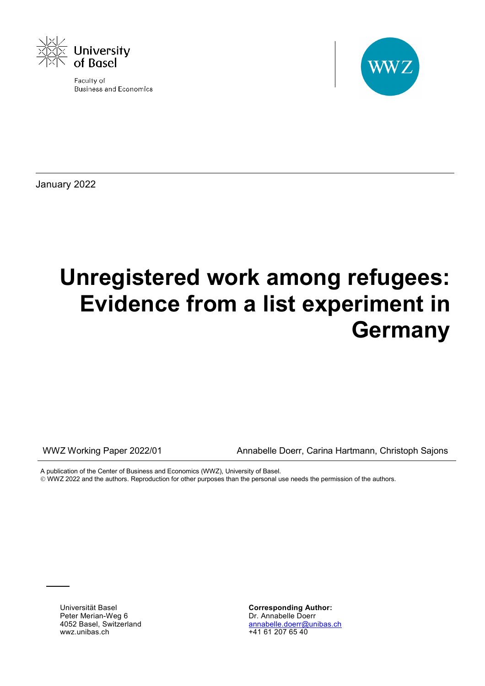

Faculty of **Business and Economics** 



January 2022

# **Unregistered work among refugees: Evidence from a list experiment in Germany**

WWZ Working Paper 2022/01 Annabelle Doerr, Carina Hartmann, Christoph Sajons

A publication of the Center of Business and Economics (WWZ), University of Basel.

WWZ 2022 and the authors. Reproduction for other purposes than the personal use needs the permission of the authors.

Universität Basel Peter Merian-Weg 6 4052 Basel, Switzerland wwz.unibas.ch

**Corresponding Author:** Dr. Annabelle Doerr [annabelle.doerr@unibas.ch](mailto:annabelle.doerr@unibas.ch) +41 61 207 65 40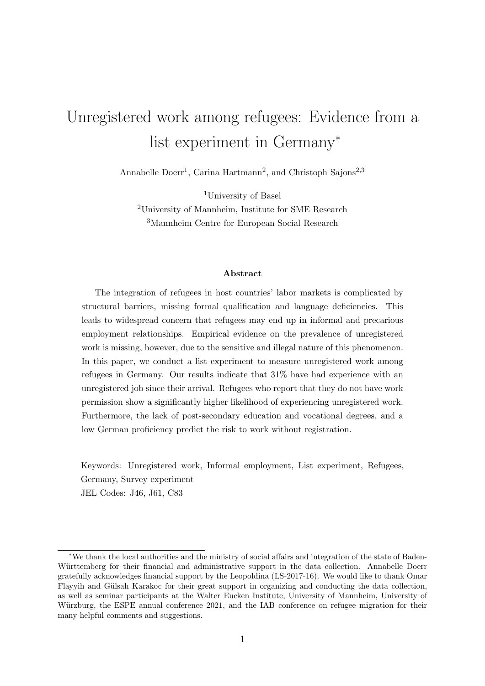## Unregistered work among refugees: Evidence from a list experiment in Germany<sup>∗</sup>

Annabelle Doerr<sup>1</sup>, Carina Hartmann<sup>2</sup>, and Christoph Sajons<sup>2,3</sup>

<sup>1</sup>University of Basel

<sup>2</sup>University of Mannheim, Institute for SME Research <sup>3</sup>Mannheim Centre for European Social Research

#### Abstract

The integration of refugees in host countries' labor markets is complicated by structural barriers, missing formal qualification and language deficiencies. This leads to widespread concern that refugees may end up in informal and precarious employment relationships. Empirical evidence on the prevalence of unregistered work is missing, however, due to the sensitive and illegal nature of this phenomenon. In this paper, we conduct a list experiment to measure unregistered work among refugees in Germany. Our results indicate that 31% have had experience with an unregistered job since their arrival. Refugees who report that they do not have work permission show a significantly higher likelihood of experiencing unregistered work. Furthermore, the lack of post-secondary education and vocational degrees, and a low German proficiency predict the risk to work without registration.

Keywords: Unregistered work, Informal employment, List experiment, Refugees, Germany, Survey experiment JEL Codes: J46, J61, C83

<sup>∗</sup>We thank the local authorities and the ministry of social affairs and integration of the state of Baden-Württemberg for their financial and administrative support in the data collection. Annabelle Doerr gratefully acknowledges financial support by the Leopoldina (LS-2017-16). We would like to thank Omar Flayyih and Gülsah Karakoc for their great support in organizing and conducting the data collection, as well as seminar participants at the Walter Eucken Institute, University of Mannheim, University of Würzburg, the ESPE annual conference 2021, and the IAB conference on refugee migration for their many helpful comments and suggestions.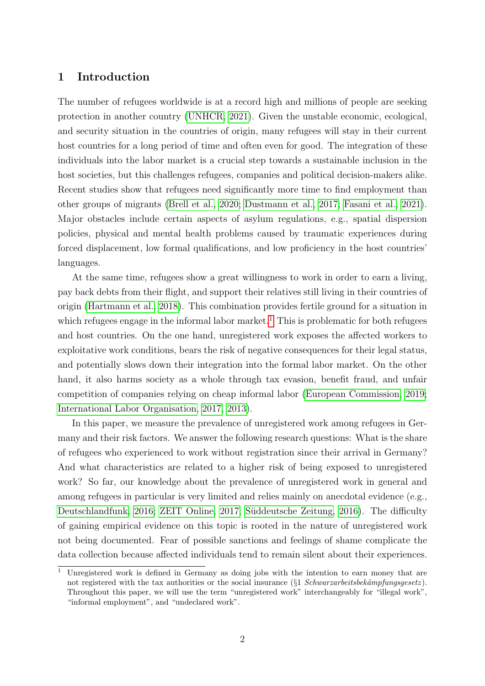## <span id="page-2-1"></span>1 Introduction

The number of refugees worldwide is at a record high and millions of people are seeking protection in another country [\(UNHCR, 2021\)](#page-31-0). Given the unstable economic, ecological, and security situation in the countries of origin, many refugees will stay in their current host countries for a long period of time and often even for good. The integration of these individuals into the labor market is a crucial step towards a sustainable inclusion in the host societies, but this challenges refugees, companies and political decision-makers alike. Recent studies show that refugees need significantly more time to find employment than other groups of migrants [\(Brell et al., 2020;](#page-28-0) [Dustmann et al., 2017;](#page-29-0) [Fasani et al., 2021\)](#page-29-1). Major obstacles include certain aspects of asylum regulations, e.g., spatial dispersion policies, physical and mental health problems caused by traumatic experiences during forced displacement, low formal qualifications, and low proficiency in the host countries' languages.

At the same time, refugees show a great willingness to work in order to earn a living, pay back debts from their flight, and support their relatives still living in their countries of origin [\(Hartmann et al., 2018\)](#page-30-0). This combination provides fertile ground for a situation in which refugees engage in the informal labor market.<sup>[1](#page-2-0)</sup> This is problematic for both refugees and host countries. On the one hand, unregistered work exposes the affected workers to exploitative work conditions, bears the risk of negative consequences for their legal status, and potentially slows down their integration into the formal labor market. On the other hand, it also harms society as a whole through tax evasion, benefit fraud, and unfair competition of companies relying on cheap informal labor [\(European Commission, 2019;](#page-29-2) [International Labor Organisation, 2017,](#page-30-1) [2013\)](#page-30-2).

In this paper, we measure the prevalence of unregistered work among refugees in Germany and their risk factors. We answer the following research questions: What is the share of refugees who experienced to work without registration since their arrival in Germany? And what characteristics are related to a higher risk of being exposed to unregistered work? So far, our knowledge about the prevalence of unregistered work in general and among refugees in particular is very limited and relies mainly on anecdotal evidence (e.g., [Deutschlandfunk, 2016;](#page-29-3) [ZEIT Online, 2017;](#page-32-0) Süddeutsche Zeitung, 2016). The difficulty of gaining empirical evidence on this topic is rooted in the nature of unregistered work not being documented. Fear of possible sanctions and feelings of shame complicate the data collection because affected individuals tend to remain silent about their experiences.

<span id="page-2-0"></span><sup>1</sup> Unregistered work is defined in Germany as doing jobs with the intention to earn money that are not registered with the tax authorities or the social insurance ( $\S1$  Schwarzarbeitsbekämpfungsgesetz). Throughout this paper, we will use the term "unregistered work" interchangeably for "illegal work", "informal employment", and "undeclared work".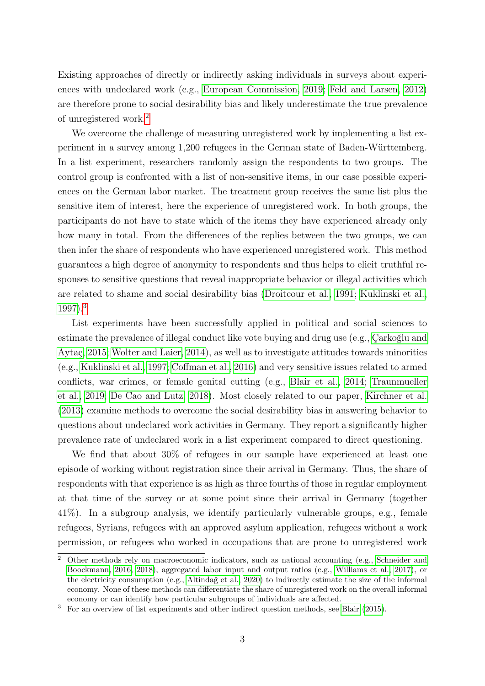Existing approaches of directly or indirectly asking individuals in surveys about experiences with undeclared work (e.g., [European Commission, 2019;](#page-29-2) [Feld and Larsen, 2012\)](#page-30-3) are therefore prone to social desirability bias and likely underestimate the true prevalence of unregistered work.[2](#page-3-0)

We overcome the challenge of measuring unregistered work by implementing a list experiment in a survey among 1,200 refugees in the German state of Baden-Württemberg. In a list experiment, researchers randomly assign the respondents to two groups. The control group is confronted with a list of non-sensitive items, in our case possible experiences on the German labor market. The treatment group receives the same list plus the sensitive item of interest, here the experience of unregistered work. In both groups, the participants do not have to state which of the items they have experienced already only how many in total. From the differences of the replies between the two groups, we can then infer the share of respondents who have experienced unregistered work. This method guarantees a high degree of anonymity to respondents and thus helps to elicit truthful responses to sensitive questions that reveal inappropriate behavior or illegal activities which are related to shame and social desirability bias [\(Droitcour et al., 1991;](#page-29-4) [Kuklinski et al.,](#page-30-4) [1997\)](#page-30-4).[3](#page-3-1)

List experiments have been successfully applied in political and social sciences to estimate the prevalence of illegal conduct like vote buying and drug use (e.g., Carkoğlu and Aytaç, 2015; [Wolter and Laier, 2014\)](#page-32-1), as well as to investigate attitudes towards minorities (e.g., [Kuklinski et al., 1997;](#page-30-4) [Coffman et al., 2016\)](#page-29-6) and very sensitive issues related to armed conflicts, war crimes, or female genital cutting (e.g., [Blair et al., 2014;](#page-28-1) [Traunmueller](#page-31-2) [et al., 2019;](#page-31-2) [De Cao and Lutz, 2018\)](#page-29-7). Most closely related to our paper, [Kirchner et al.](#page-30-5) [\(2013\)](#page-30-5) examine methods to overcome the social desirability bias in answering behavior to questions about undeclared work activities in Germany. They report a significantly higher prevalence rate of undeclared work in a list experiment compared to direct questioning.

We find that about 30% of refugees in our sample have experienced at least one episode of working without registration since their arrival in Germany. Thus, the share of respondents with that experience is as high as three fourths of those in regular employment at that time of the survey or at some point since their arrival in Germany (together 41%). In a subgroup analysis, we identify particularly vulnerable groups, e.g., female refugees, Syrians, refugees with an approved asylum application, refugees without a work permission, or refugees who worked in occupations that are prone to unregistered work

<span id="page-3-0"></span><sup>&</sup>lt;sup>2</sup> Other methods rely on macroeconomic indicators, such as national accounting (e.g., [Schneider and](#page-31-3) [Boockmann, 2016,](#page-31-3) [2018\)](#page-31-4), aggregated labor input and output ratios (e.g., [Williams et al., 2017\)](#page-31-5), or the electricity consumption (e.g., Altindağ et al., 2020) to indirectly estimate the size of the informal economy. None of these methods can differentiate the share of unregistered work on the overall informal economy or can identify how particular subgroups of individuals are affected.

<span id="page-3-1"></span><sup>&</sup>lt;sup>3</sup> For an overview of list experiments and other indirect question methods, see [Blair](#page-28-2) [\(2015\)](#page-28-2).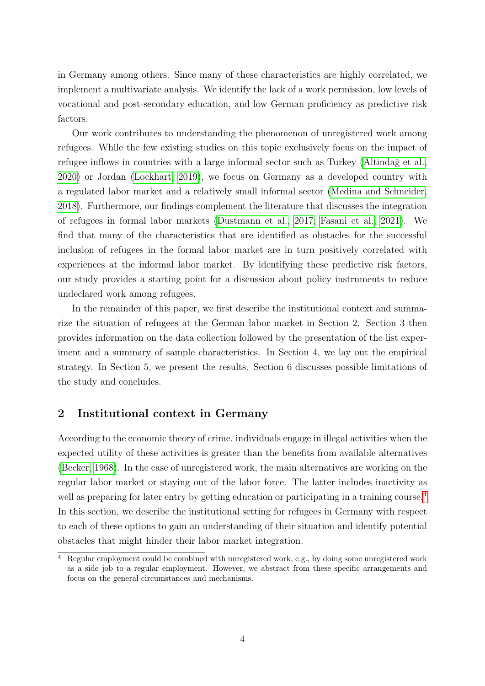in Germany among others. Since many of these characteristics are highly correlated, we implement a multivariate analysis. We identify the lack of a work permission, low levels of vocational and post-secondary education, and low German proficiency as predictive risk factors.

Our work contributes to understanding the phenomenon of unregistered work among refugees. While the few existing studies on this topic exclusively focus on the impact of refugee inflows in countries with a large informal sector such as Turkey (Altinda $\zeta$  et al., [2020\)](#page-27-0) or Jordan [\(Lockhart, 2019\)](#page-31-6), we focus on Germany as a developed country with a regulated labor market and a relatively small informal sector [\(Medina and Schneider,](#page-31-7) [2018\)](#page-31-7). Furthermore, our findings complement the literature that discusses the integration of refugees in formal labor markets [\(Dustmann et al., 2017;](#page-29-0) [Fasani et al., 2021\)](#page-29-1). We find that many of the characteristics that are identified as obstacles for the successful inclusion of refugees in the formal labor market are in turn positively correlated with experiences at the informal labor market. By identifying these predictive risk factors, our study provides a starting point for a discussion about policy instruments to reduce undeclared work among refugees.

In the remainder of this paper, we first describe the institutional context and summarize the situation of refugees at the German labor market in Section 2. Section 3 then provides information on the data collection followed by the presentation of the list experiment and a summary of sample characteristics. In Section 4, we lay out the empirical strategy. In Section 5, we present the results. Section 6 discusses possible limitations of the study and concludes.

## <span id="page-4-1"></span>2 Institutional context in Germany

According to the economic theory of crime, individuals engage in illegal activities when the expected utility of these activities is greater than the benefits from available alternatives [\(Becker, 1968\)](#page-28-3). In the case of unregistered work, the main alternatives are working on the regular labor market or staying out of the labor force. The latter includes inactivity as well as preparing for later entry by getting education or participating in a training course.<sup>[4](#page-4-0)</sup> In this section, we describe the institutional setting for refugees in Germany with respect to each of these options to gain an understanding of their situation and identify potential obstacles that might hinder their labor market integration.

<span id="page-4-0"></span><sup>4</sup> Regular employment could be combined with unregistered work, e.g., by doing some unregistered work as a side job to a regular employment. However, we abstract from these specific arrangements and focus on the general circumstances and mechanisms.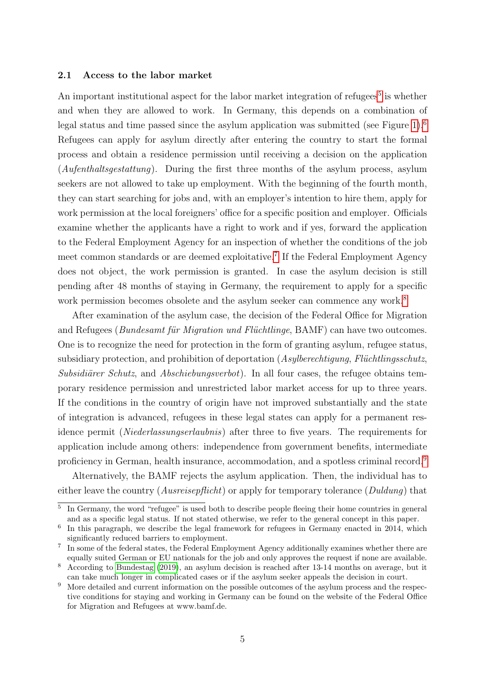#### <span id="page-5-5"></span>2.1 Access to the labor market

An important institutional aspect for the labor market integration of refugees<sup>[5](#page-5-0)</sup> is whether and when they are allowed to work. In Germany, this depends on a combination of legal status and time passed since the asylum application was submitted (see Figure [1\)](#page-6-0).<sup>[6](#page-5-1)</sup> Refugees can apply for asylum directly after entering the country to start the formal process and obtain a residence permission until receiving a decision on the application (Aufenthaltsgestattung). During the first three months of the asylum process, asylum seekers are not allowed to take up employment. With the beginning of the fourth month, they can start searching for jobs and, with an employer's intention to hire them, apply for work permission at the local foreigners' office for a specific position and employer. Officials examine whether the applicants have a right to work and if yes, forward the application to the Federal Employment Agency for an inspection of whether the conditions of the job meet common standards or are deemed exploitative.<sup>[7](#page-5-2)</sup> If the Federal Employment Agency does not object, the work permission is granted. In case the asylum decision is still pending after 48 months of staying in Germany, the requirement to apply for a specific work permission becomes obsolete and the asylum seeker can commence any work.<sup>[8](#page-5-3)</sup>

After examination of the asylum case, the decision of the Federal Office for Migration and Refugees ( $Bundesamt für Migration und Flüchtlinge$ ,  $BAMF$ ) can have two outcomes. One is to recognize the need for protection in the form of granting asylum, refugee status, subsidiary protection, and prohibition of deportation  $(Asylberechtigung, Flüchtlingschutz,$ Subsidiürer Schutz, and Abschiebungsverbot). In all four cases, the refugee obtains temporary residence permission and unrestricted labor market access for up to three years. If the conditions in the country of origin have not improved substantially and the state of integration is advanced, refugees in these legal states can apply for a permanent residence permit (Niederlassungserlaubnis) after three to five years. The requirements for application include among others: independence from government benefits, intermediate proficiency in German, health insurance, accommodation, and a spotless criminal record.[9](#page-5-4)

Alternatively, the BAMF rejects the asylum application. Then, the individual has to either leave the country (*Ausreisepflicht*) or apply for temporary tolerance (*Duldung*) that

<span id="page-5-0"></span><sup>5</sup> In Germany, the word "refugee" is used both to describe people fleeing their home countries in general and as a specific legal status. If not stated otherwise, we refer to the general concept in this paper.

<span id="page-5-1"></span><sup>6</sup> In this paragraph, we describe the legal framework for refugees in Germany enacted in 2014, which significantly reduced barriers to employment.

<span id="page-5-2"></span><sup>&</sup>lt;sup>7</sup> In some of the federal states, the Federal Employment Agency additionally examines whether there are equally suited German or EU nationals for the job and only approves the request if none are available.

<span id="page-5-3"></span><sup>8</sup> According to [Bundestag](#page-29-8) [\(2019\)](#page-29-8), an asylum decision is reached after 13-14 months on average, but it can take much longer in complicated cases or if the asylum seeker appeals the decision in court.

<span id="page-5-4"></span><sup>&</sup>lt;sup>9</sup> More detailed and current information on the possible outcomes of the asylum process and the respective conditions for staying and working in Germany can be found on the website of the Federal Office for Migration and Refugees at www.bamf.de.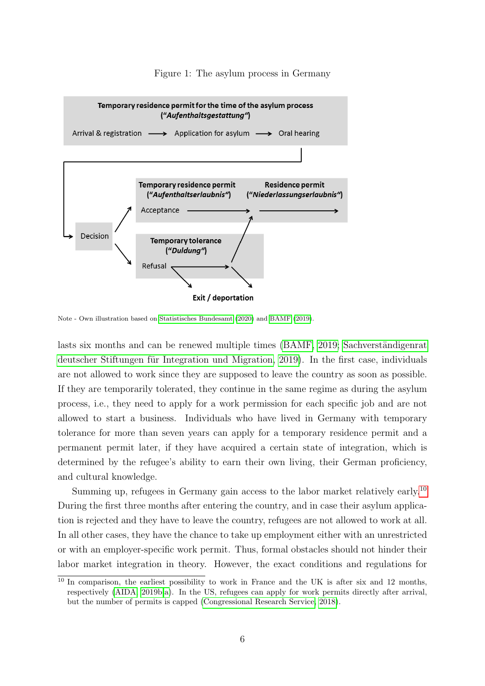<span id="page-6-0"></span>

#### Figure 1: The asylum process in Germany

Note - Own illustration based on [Statistisches Bundesamt](#page-31-8) [\(2020\)](#page-31-8) and [BAMF](#page-27-1) [\(2019\)](#page-27-1).

lasts six months and can be renewed multiple times [\(BAMF, 2019;](#page-27-1) Sachverständigenrat deutscher Stiftungen für Integration und Migration, 2019). In the first case, individuals are not allowed to work since they are supposed to leave the country as soon as possible. If they are temporarily tolerated, they continue in the same regime as during the asylum process, i.e., they need to apply for a work permission for each specific job and are not allowed to start a business. Individuals who have lived in Germany with temporary tolerance for more than seven years can apply for a temporary residence permit and a permanent permit later, if they have acquired a certain state of integration, which is determined by the refugee's ability to earn their own living, their German proficiency, and cultural knowledge.

Summing up, refugees in Germany gain access to the labor market relatively early.<sup>[10](#page-6-1)</sup> During the first three months after entering the country, and in case their asylum application is rejected and they have to leave the country, refugees are not allowed to work at all. In all other cases, they have the chance to take up employment either with an unrestricted or with an employer-specific work permit. Thus, formal obstacles should not hinder their labor market integration in theory. However, the exact conditions and regulations for

<span id="page-6-1"></span><sup>&</sup>lt;sup>10</sup> In comparison, the earliest possibility to work in France and the UK is after six and 12 months, respectively [\(AIDA, 2019b](#page-27-2)[,a\)](#page-27-3). In the US, refugees can apply for work permits directly after arrival, but the number of permits is capped [\(Congressional Research Service, 2018\)](#page-29-9).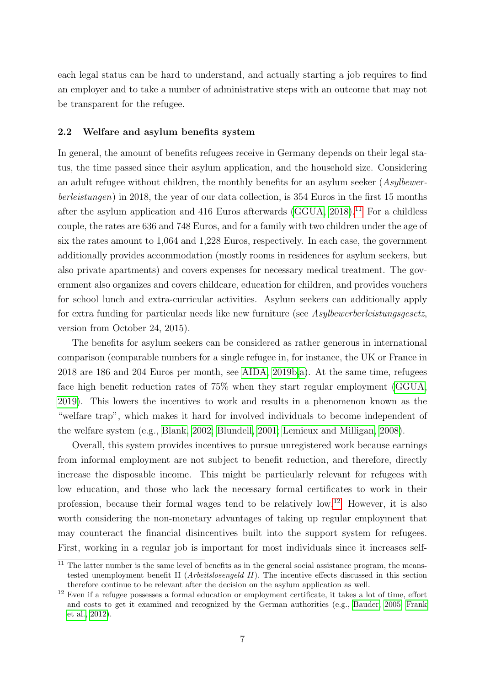each legal status can be hard to understand, and actually starting a job requires to find an employer and to take a number of administrative steps with an outcome that may not be transparent for the refugee.

#### 2.2 Welfare and asylum benefits system

In general, the amount of benefits refugees receive in Germany depends on their legal status, the time passed since their asylum application, and the household size. Considering an adult refugee without children, the monthly benefits for an asylum seeker (Asylbewerberleistungen) in 2018, the year of our data collection, is 354 Euros in the first 15 months after the asylum application and 416 Euros afterwards (GGUA,  $2018$ ).<sup>[11](#page-7-0)</sup> For a childless couple, the rates are 636 and 748 Euros, and for a family with two children under the age of six the rates amount to 1,064 and 1,228 Euros, respectively. In each case, the government additionally provides accommodation (mostly rooms in residences for asylum seekers, but also private apartments) and covers expenses for necessary medical treatment. The government also organizes and covers childcare, education for children, and provides vouchers for school lunch and extra-curricular activities. Asylum seekers can additionally apply for extra funding for particular needs like new furniture (see Asylbewerberleistungsgesetz, version from October 24, 2015).

The benefits for asylum seekers can be considered as rather generous in international comparison (comparable numbers for a single refugee in, for instance, the UK or France in 2018 are 186 and 204 Euros per month, see [AIDA, 2019b,](#page-27-2)[a\)](#page-27-3). At the same time, refugees face high benefit reduction rates of 75% when they start regular employment [\(GGUA,](#page-30-7) [2019\)](#page-30-7). This lowers the incentives to work and results in a phenomenon known as the "welfare trap", which makes it hard for involved individuals to become independent of the welfare system (e.g., [Blank, 2002;](#page-28-4) [Blundell, 2001;](#page-28-5) [Lemieux and Milligan, 2008\)](#page-30-8).

Overall, this system provides incentives to pursue unregistered work because earnings from informal employment are not subject to benefit reduction, and therefore, directly increase the disposable income. This might be particularly relevant for refugees with low education, and those who lack the necessary formal certificates to work in their profession, because their formal wages tend to be relatively low.[12](#page-7-1) However, it is also worth considering the non-monetary advantages of taking up regular employment that may counteract the financial disincentives built into the support system for refugees. First, working in a regular job is important for most individuals since it increases self-

<span id="page-7-0"></span> $11$  The latter number is the same level of benefits as in the general social assistance program, the meanstested unemployment benefit II (Arbeitslosengeld II). The incentive effects discussed in this section therefore continue to be relevant after the decision on the asylum application as well.

<span id="page-7-1"></span><sup>&</sup>lt;sup>12</sup> Even if a refugee possesses a formal education or employment certificate, it takes a lot of time, effort and costs to get it examined and recognized by the German authorities (e.g., [Bauder, 2005;](#page-28-6) [Frank](#page-30-9) [et al., 2012\)](#page-30-9).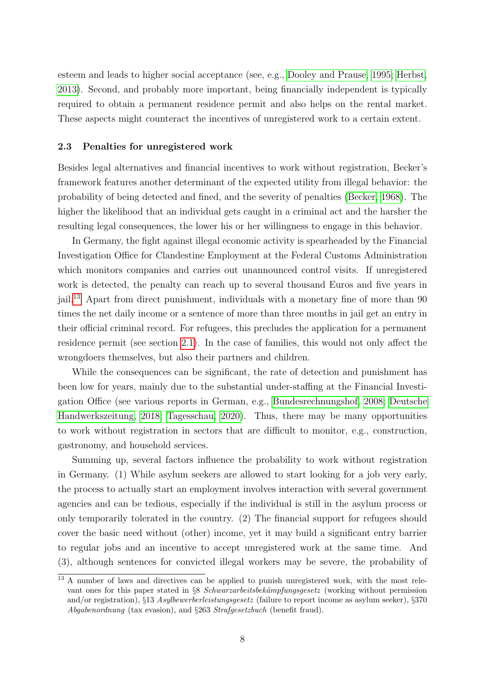esteem and leads to higher social acceptance (see, e.g., [Dooley and Prause, 1995;](#page-29-10) [Herbst,](#page-30-10) [2013\)](#page-30-10). Second, and probably more important, being financially independent is typically required to obtain a permanent residence permit and also helps on the rental market. These aspects might counteract the incentives of unregistered work to a certain extent.

#### 2.3 Penalties for unregistered work

Besides legal alternatives and financial incentives to work without registration, Becker's framework features another determinant of the expected utility from illegal behavior: the probability of being detected and fined, and the severity of penalties [\(Becker, 1968\)](#page-28-3). The higher the likelihood that an individual gets caught in a criminal act and the harsher the resulting legal consequences, the lower his or her willingness to engage in this behavior.

In Germany, the fight against illegal economic activity is spearheaded by the Financial Investigation Office for Clandestine Employment at the Federal Customs Administration which monitors companies and carries out unannounced control visits. If unregistered work is detected, the penalty can reach up to several thousand Euros and five years in jail.[13](#page-8-0) Apart from direct punishment, individuals with a monetary fine of more than 90 times the net daily income or a sentence of more than three months in jail get an entry in their official criminal record. For refugees, this precludes the application for a permanent residence permit (see section [2.1\)](#page-5-5). In the case of families, this would not only affect the wrongdoers themselves, but also their partners and children.

While the consequences can be significant, the rate of detection and punishment has been low for years, mainly due to the substantial under-staffing at the Financial Investigation Office (see various reports in German, e.g., [Bundesrechnungshof, 2008;](#page-28-7) [Deutsche](#page-29-11) [Handwerkszeitung, 2018;](#page-29-11) [Tagesschau, 2020\)](#page-31-10). Thus, there may be many opportunities to work without registration in sectors that are difficult to monitor, e.g., construction, gastronomy, and household services.

Summing up, several factors influence the probability to work without registration in Germany. (1) While asylum seekers are allowed to start looking for a job very early, the process to actually start an employment involves interaction with several government agencies and can be tedious, especially if the individual is still in the asylum process or only temporarily tolerated in the country. (2) The financial support for refugees should cover the basic need without (other) income, yet it may build a significant entry barrier to regular jobs and an incentive to accept unregistered work at the same time. And (3), although sentences for convicted illegal workers may be severe, the probability of

<span id="page-8-0"></span><sup>&</sup>lt;sup>13</sup> A number of laws and directives can be applied to punish unregistered work, with the most relevant ones for this paper stated in §8 Schwarzarbeitsbekämpfungsgesetz (working without permission and/or registration), §13 Asylbewerberleistungsgesetz (failure to report income as asylum seeker), §370 Abgabenordnung (tax evasion), and §263 Strafgesetzbuch (benefit fraud).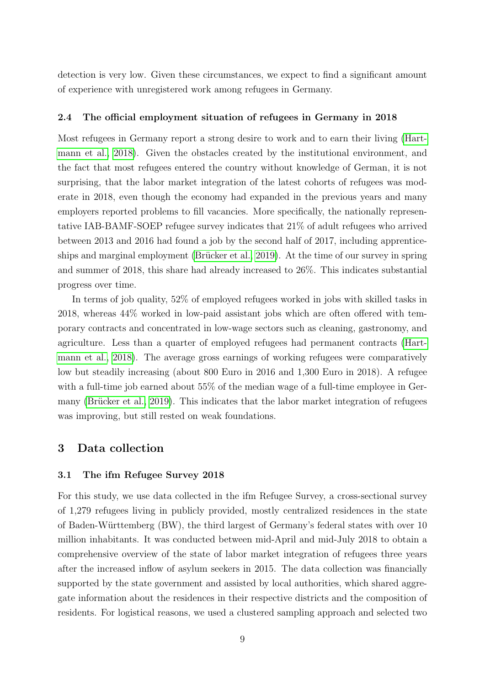detection is very low. Given these circumstances, we expect to find a significant amount of experience with unregistered work among refugees in Germany.

#### 2.4 The official employment situation of refugees in Germany in 2018

Most refugees in Germany report a strong desire to work and to earn their living [\(Hart](#page-30-0)[mann et al., 2018\)](#page-30-0). Given the obstacles created by the institutional environment, and the fact that most refugees entered the country without knowledge of German, it is not surprising, that the labor market integration of the latest cohorts of refugees was moderate in 2018, even though the economy had expanded in the previous years and many employers reported problems to fill vacancies. More specifically, the nationally representative IAB-BAMF-SOEP refugee survey indicates that 21% of adult refugees who arrived between 2013 and 2016 had found a job by the second half of 2017, including apprenticeships and marginal employment (Brücker et al., 2019). At the time of our survey in spring and summer of 2018, this share had already increased to 26%. This indicates substantial progress over time.

In terms of job quality, 52% of employed refugees worked in jobs with skilled tasks in 2018, whereas 44% worked in low-paid assistant jobs which are often offered with temporary contracts and concentrated in low-wage sectors such as cleaning, gastronomy, and agriculture. Less than a quarter of employed refugees had permanent contracts [\(Hart](#page-30-0)[mann et al., 2018\)](#page-30-0). The average gross earnings of working refugees were comparatively low but steadily increasing (about 800 Euro in 2016 and 1,300 Euro in 2018). A refugee with a full-time job earned about 55% of the median wage of a full-time employee in Germany (Brücker et al., 2019). This indicates that the labor market integration of refugees was improving, but still rested on weak foundations.

#### <span id="page-9-0"></span>3 Data collection

#### <span id="page-9-1"></span>3.1 The ifm Refugee Survey 2018

For this study, we use data collected in the ifm Refugee Survey, a cross-sectional survey of 1,279 refugees living in publicly provided, mostly centralized residences in the state of Baden-Württemberg (BW), the third largest of Germany's federal states with over 10 million inhabitants. It was conducted between mid-April and mid-July 2018 to obtain a comprehensive overview of the state of labor market integration of refugees three years after the increased inflow of asylum seekers in 2015. The data collection was financially supported by the state government and assisted by local authorities, which shared aggregate information about the residences in their respective districts and the composition of residents. For logistical reasons, we used a clustered sampling approach and selected two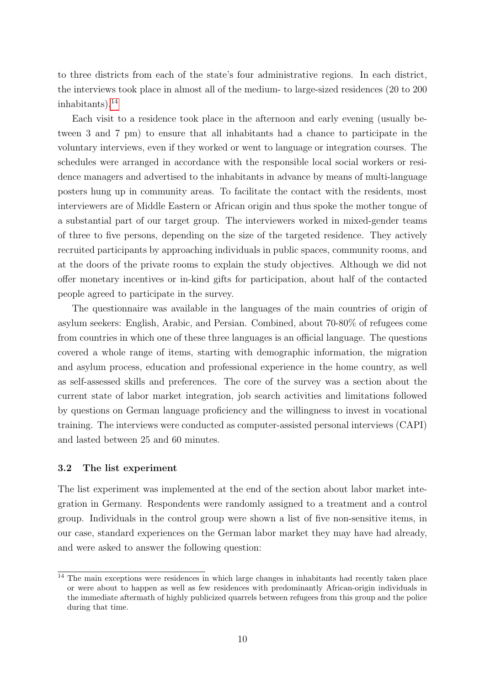to three districts from each of the state's four administrative regions. In each district, the interviews took place in almost all of the medium- to large-sized residences (20 to 200 inhabitants). $^{14}$  $^{14}$  $^{14}$ 

Each visit to a residence took place in the afternoon and early evening (usually between 3 and 7 pm) to ensure that all inhabitants had a chance to participate in the voluntary interviews, even if they worked or went to language or integration courses. The schedules were arranged in accordance with the responsible local social workers or residence managers and advertised to the inhabitants in advance by means of multi-language posters hung up in community areas. To facilitate the contact with the residents, most interviewers are of Middle Eastern or African origin and thus spoke the mother tongue of a substantial part of our target group. The interviewers worked in mixed-gender teams of three to five persons, depending on the size of the targeted residence. They actively recruited participants by approaching individuals in public spaces, community rooms, and at the doors of the private rooms to explain the study objectives. Although we did not offer monetary incentives or in-kind gifts for participation, about half of the contacted people agreed to participate in the survey.

The questionnaire was available in the languages of the main countries of origin of asylum seekers: English, Arabic, and Persian. Combined, about 70-80% of refugees come from countries in which one of these three languages is an official language. The questions covered a whole range of items, starting with demographic information, the migration and asylum process, education and professional experience in the home country, as well as self-assessed skills and preferences. The core of the survey was a section about the current state of labor market integration, job search activities and limitations followed by questions on German language proficiency and the willingness to invest in vocational training. The interviews were conducted as computer-assisted personal interviews (CAPI) and lasted between 25 and 60 minutes.

#### <span id="page-10-1"></span>3.2 The list experiment

The list experiment was implemented at the end of the section about labor market integration in Germany. Respondents were randomly assigned to a treatment and a control group. Individuals in the control group were shown a list of five non-sensitive items, in our case, standard experiences on the German labor market they may have had already, and were asked to answer the following question:

<span id="page-10-0"></span> $\frac{14}{14}$  The main exceptions were residences in which large changes in inhabitants had recently taken place or were about to happen as well as few residences with predominantly African-origin individuals in the immediate aftermath of highly publicized quarrels between refugees from this group and the police during that time.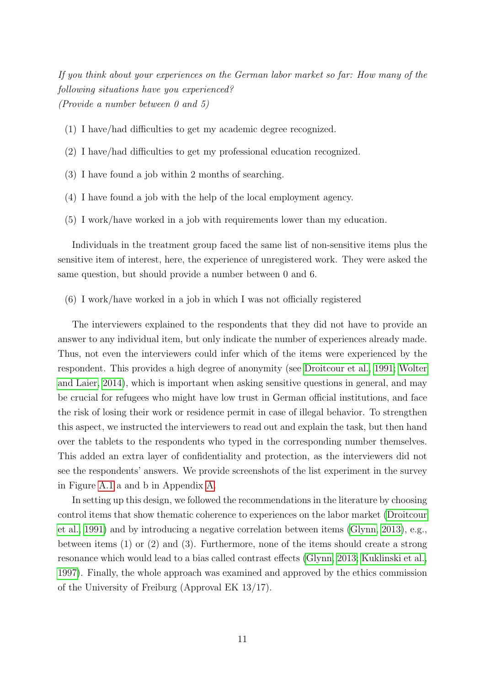If you think about your experiences on the German labor market so far: How many of the following situations have you experienced? (Provide a number between 0 and 5)

- (1) I have/had difficulties to get my academic degree recognized.
- (2) I have/had difficulties to get my professional education recognized.
- (3) I have found a job within 2 months of searching.
- (4) I have found a job with the help of the local employment agency.
- (5) I work/have worked in a job with requirements lower than my education.

Individuals in the treatment group faced the same list of non-sensitive items plus the sensitive item of interest, here, the experience of unregistered work. They were asked the same question, but should provide a number between 0 and 6.

(6) I work/have worked in a job in which I was not officially registered

The interviewers explained to the respondents that they did not have to provide an answer to any individual item, but only indicate the number of experiences already made. Thus, not even the interviewers could infer which of the items were experienced by the respondent. This provides a high degree of anonymity (see [Droitcour et al., 1991;](#page-29-4) [Wolter](#page-32-1) [and Laier, 2014\)](#page-32-1), which is important when asking sensitive questions in general, and may be crucial for refugees who might have low trust in German official institutions, and face the risk of losing their work or residence permit in case of illegal behavior. To strengthen this aspect, we instructed the interviewers to read out and explain the task, but then hand over the tablets to the respondents who typed in the corresponding number themselves. This added an extra layer of confidentiality and protection, as the interviewers did not see the respondents' answers. We provide screenshots of the list experiment in the survey in Figure [A.1](#page-33-0) a and b in Appendix [A.](#page-2-1)

In setting up this design, we followed the recommendations in the literature by choosing control items that show thematic coherence to experiences on the labor market [\(Droitcour](#page-29-4) [et al., 1991\)](#page-29-4) and by introducing a negative correlation between items [\(Glynn, 2013\)](#page-30-11), e.g., between items (1) or (2) and (3). Furthermore, none of the items should create a strong resonance which would lead to a bias called contrast effects [\(Glynn, 2013;](#page-30-11) [Kuklinski et al.,](#page-30-4) [1997\)](#page-30-4). Finally, the whole approach was examined and approved by the ethics commission of the University of Freiburg (Approval EK 13/17).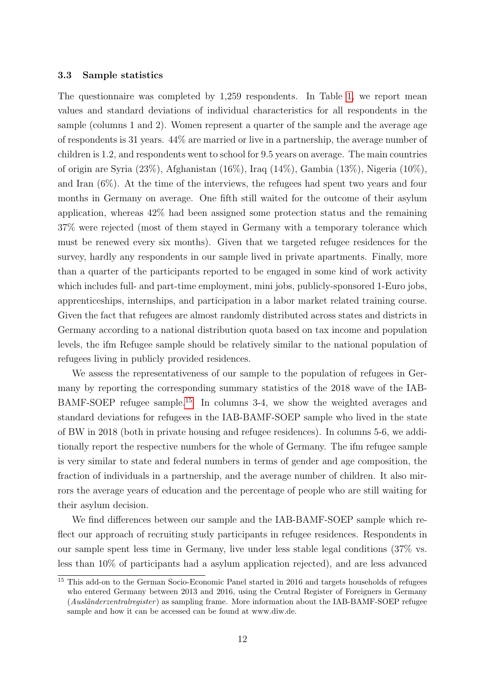#### <span id="page-12-1"></span>3.3 Sample statistics

The questionnaire was completed by 1,259 respondents. In Table [1,](#page-13-0) we report mean values and standard deviations of individual characteristics for all respondents in the sample (columns 1 and 2). Women represent a quarter of the sample and the average age of respondents is 31 years. 44% are married or live in a partnership, the average number of children is 1.2, and respondents went to school for 9.5 years on average. The main countries of origin are Syria (23%), Afghanistan (16%), Iraq (14%), Gambia (13%), Nigeria (10%), and Iran (6%). At the time of the interviews, the refugees had spent two years and four months in Germany on average. One fifth still waited for the outcome of their asylum application, whereas 42% had been assigned some protection status and the remaining 37% were rejected (most of them stayed in Germany with a temporary tolerance which must be renewed every six months). Given that we targeted refugee residences for the survey, hardly any respondents in our sample lived in private apartments. Finally, more than a quarter of the participants reported to be engaged in some kind of work activity which includes full- and part-time employment, mini jobs, publicly-sponsored 1-Euro jobs, apprenticeships, internships, and participation in a labor market related training course. Given the fact that refugees are almost randomly distributed across states and districts in Germany according to a national distribution quota based on tax income and population levels, the ifm Refugee sample should be relatively similar to the national population of refugees living in publicly provided residences.

We assess the representativeness of our sample to the population of refugees in Germany by reporting the corresponding summary statistics of the 2018 wave of the IAB-BAMF-SOEP refugee sample.[15](#page-12-0) In columns 3-4, we show the weighted averages and standard deviations for refugees in the IAB-BAMF-SOEP sample who lived in the state of BW in 2018 (both in private housing and refugee residences). In columns 5-6, we additionally report the respective numbers for the whole of Germany. The ifm refugee sample is very similar to state and federal numbers in terms of gender and age composition, the fraction of individuals in a partnership, and the average number of children. It also mirrors the average years of education and the percentage of people who are still waiting for their asylum decision.

We find differences between our sample and the IAB-BAMF-SOEP sample which reflect our approach of recruiting study participants in refugee residences. Respondents in our sample spent less time in Germany, live under less stable legal conditions (37% vs. less than 10% of participants had a asylum application rejected), and are less advanced

<span id="page-12-0"></span><sup>&</sup>lt;sup>15</sup> This add-on to the German Socio-Economic Panel started in 2016 and targets households of refugees who entered Germany between 2013 and 2016, using the Central Register of Foreigners in Germany (Ausländerzentralregister) as sampling frame. More information about the IAB-BAMF-SOEP refugee sample and how it can be accessed can be found at www.diw.de.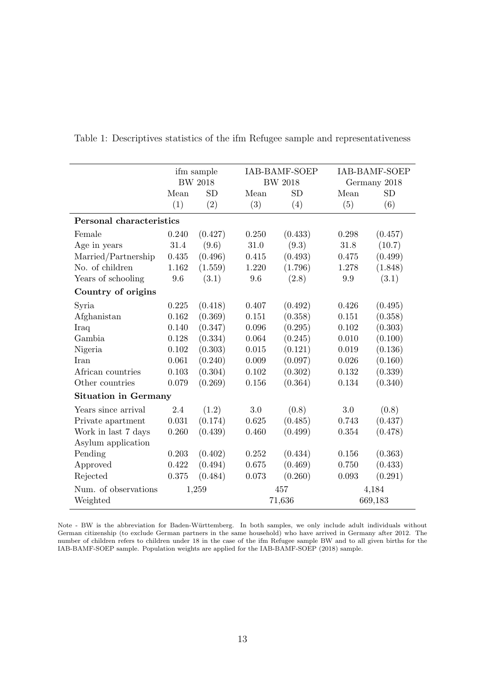|                             | ifm sample |                |           | <b>IAB-BAMF-SOEP</b> |           | IAB-BAMF-SOEP |
|-----------------------------|------------|----------------|-----------|----------------------|-----------|---------------|
|                             |            | <b>BW 2018</b> |           | <b>BW 2018</b>       |           | Germany 2018  |
|                             | Mean       | <b>SD</b>      | Mean      | <b>SD</b>            | Mean      | <b>SD</b>     |
|                             | (1)        | (2)            | (3)       | (4)                  | (5)       | (6)           |
| Personal characteristics    |            |                |           |                      |           |               |
| Female                      | 0.240      | (0.427)        | 0.250     | (0.433)              | 0.298     | (0.457)       |
| Age in years                | $31.4\,$   | (9.6)          | 31.0      | (9.3)                | 31.8      | (10.7)        |
| Married/Partnership         | 0.435      | (0.496)        | 0.415     | (0.493)              | 0.475     | (0.499)       |
| No. of children             | 1.162      | (1.559)        | 1.220     | (1.796)              | 1.278     | (1.848)       |
| Years of schooling          | $9.6\,$    | (3.1)          | $9.6\,$   | (2.8)                | 9.9       | (3.1)         |
| Country of origins          |            |                |           |                      |           |               |
| Syria                       | 0.225      | (0.418)        | 0.407     | (0.492)              | 0.426     | (0.495)       |
| Afghanistan                 | 0.162      | (0.369)        | 0.151     | (0.358)              | 0.151     | (0.358)       |
| Iraq                        | 0.140      | (0.347)        | 0.096     | (0.295)              | 0.102     | (0.303)       |
| Gambia                      | 0.128      | (0.334)        | 0.064     | (0.245)              | 0.010     | (0.100)       |
| Nigeria                     | $0.102\,$  | (0.303)        | $0.015\,$ | (0.121)              | 0.019     | (0.136)       |
| Iran                        | 0.061      | (0.240)        | 0.009     | (0.097)              | 0.026     | (0.160)       |
| African countries           | 0.103      | (0.304)        | 0.102     | (0.302)              | 0.132     | (0.339)       |
| Other countries             | 0.079      | (0.269)        | 0.156     | (0.364)              | 0.134     | (0.340)       |
| <b>Situation in Germany</b> |            |                |           |                      |           |               |
| Years since arrival         | 2.4        | (1.2)          | $3.0\,$   | (0.8)                | 3.0       | (0.8)         |
| Private apartment           | 0.031      | (0.174)        | 0.625     | (0.485)              | 0.743     | (0.437)       |
| Work in last 7 days         | 0.260      | (0.439)        | 0.460     | (0.499)              | 0.354     | (0.478)       |
| Asylum application          |            |                |           |                      |           |               |
| Pending                     | 0.203      | (0.402)        | 0.252     | (0.434)              | $0.156\,$ | (0.363)       |
| Approved                    | 0.422      | (0.494)        | 0.675     | (0.469)              | 0.750     | (0.433)       |
| Rejected                    | 0.375      | (0.484)        | 0.073     | (0.260)              | 0.093     | (0.291)       |
| Num. of observations        |            | 1,259          |           | 457                  |           | 4,184         |
| Weighted                    |            |                |           | 71,636               |           | 669,183       |

<span id="page-13-0"></span>Table 1: Descriptives statistics of the ifm Refugee sample and representativeness

Note - BW is the abbreviation for Baden-Württemberg. In both samples, we only include adult individuals without German citizenship (to exclude German partners in the same household) who have arrived in Germany after 2012. The number of children refers to children under 18 in the case of the ifm Refugee sample BW and to all given births for the IAB-BAMF-SOEP sample. Population weights are applied for the IAB-BAMF-SOEP (2018) sample.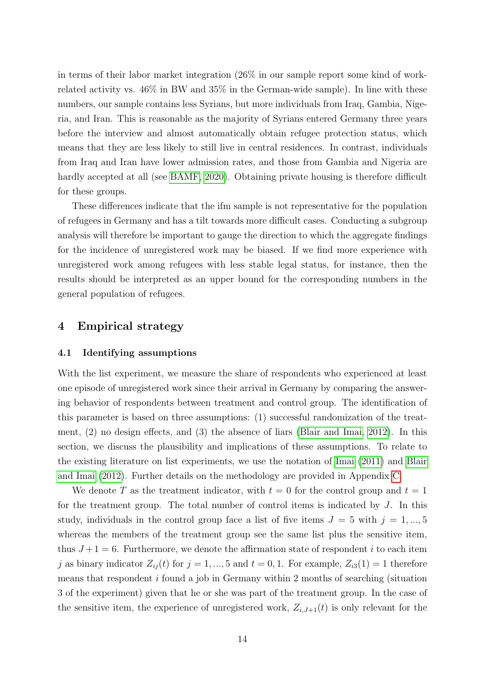in terms of their labor market integration (26% in our sample report some kind of workrelated activity vs. 46% in BW and 35% in the German-wide sample). In line with these numbers, our sample contains less Syrians, but more individuals from Iraq, Gambia, Nigeria, and Iran. This is reasonable as the majority of Syrians entered Germany three years before the interview and almost automatically obtain refugee protection status, which means that they are less likely to still live in central residences. In contrast, individuals from Iraq and Iran have lower admission rates, and those from Gambia and Nigeria are hardly accepted at all (see [BAMF, 2020\)](#page-27-4). Obtaining private housing is therefore difficult for these groups.

These differences indicate that the ifm sample is not representative for the population of refugees in Germany and has a tilt towards more difficult cases. Conducting a subgroup analysis will therefore be important to gauge the direction to which the aggregate findings for the incidence of unregistered work may be biased. If we find more experience with unregistered work among refugees with less stable legal status, for instance, then the results should be interpreted as an upper bound for the corresponding numbers in the general population of refugees.

### <span id="page-14-0"></span>4 Empirical strategy

#### 4.1 Identifying assumptions

With the list experiment, we measure the share of respondents who experienced at least one episode of unregistered work since their arrival in Germany by comparing the answering behavior of respondents between treatment and control group. The identification of this parameter is based on three assumptions: (1) successful randomization of the treatment, (2) no design effects, and (3) the absence of liars [\(Blair and Imai, 2012\)](#page-28-9). In this section, we discuss the plausibility and implications of these assumptions. To relate to the existing literature on list experiments, we use the notation of [Imai](#page-30-12) [\(2011\)](#page-30-12) and [Blair](#page-28-9) [and Imai](#page-28-9) [\(2012\)](#page-28-9). Further details on the methodology are provided in Appendix [C.](#page-9-0)

We denote T as the treatment indicator, with  $t = 0$  for the control group and  $t = 1$ for the treatment group. The total number of control items is indicated by J. In this study, individuals in the control group face a list of five items  $J = 5$  with  $j = 1, ..., 5$ whereas the members of the treatment group see the same list plus the sensitive item, thus  $J+1=6$ . Furthermore, we denote the affirmation state of respondent i to each item j as binary indicator  $Z_{ij}(t)$  for  $j = 1, ..., 5$  and  $t = 0, 1$ . For example,  $Z_{i3}(1) = 1$  therefore means that respondent i found a job in Germany within 2 months of searching (situation 3 of the experiment) given that he or she was part of the treatment group. In the case of the sensitive item, the experience of unregistered work,  $Z_{i,J+1}(t)$  is only relevant for the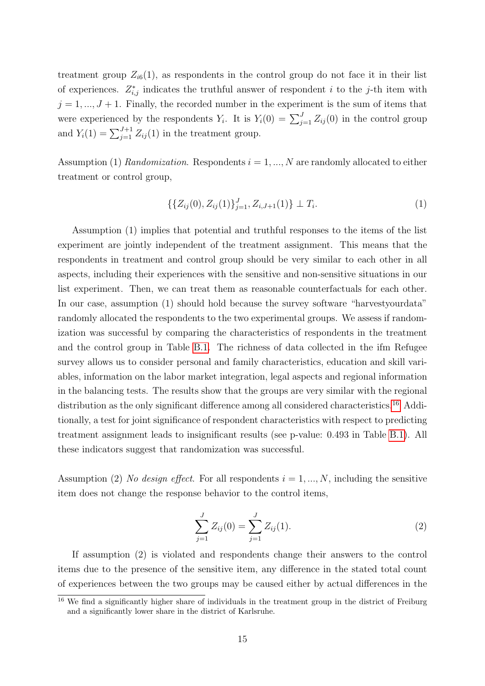treatment group  $Z_{i6}(1)$ , as respondents in the control group do not face it in their list of experiences.  $Z_{i,j}^*$  indicates the truthful answer of respondent i to the j-th item with  $j = 1, ..., J + 1$ . Finally, the recorded number in the experiment is the sum of items that were experienced by the respondents  $Y_i$ . It is  $Y_i(0) = \sum_{j=1}^J Z_{ij}(0)$  in the control group and  $Y_i(1) = \sum_{j=1}^{J+1} Z_{ij}(1)$  in the treatment group.

Assumption (1) Randomization. Respondents  $i = 1, ..., N$  are randomly allocated to either treatment or control group,

$$
\{\{Z_{ij}(0), Z_{ij}(1)\}_{j=1}^J, Z_{i,J+1}(1)\} \perp T_i.
$$
\n(1)

Assumption (1) implies that potential and truthful responses to the items of the list experiment are jointly independent of the treatment assignment. This means that the respondents in treatment and control group should be very similar to each other in all aspects, including their experiences with the sensitive and non-sensitive situations in our list experiment. Then, we can treat them as reasonable counterfactuals for each other. In our case, assumption (1) should hold because the survey software "harvestyourdata" randomly allocated the respondents to the two experimental groups. We assess if randomization was successful by comparing the characteristics of respondents in the treatment and the control group in Table [B.1.](#page-34-0) The richness of data collected in the ifm Refugee survey allows us to consider personal and family characteristics, education and skill variables, information on the labor market integration, legal aspects and regional information in the balancing tests. The results show that the groups are very similar with the regional distribution as the only significant difference among all considered characteristics.<sup>[16](#page-15-0)</sup> Additionally, a test for joint significance of respondent characteristics with respect to predicting treatment assignment leads to insignificant results (see p-value: 0.493 in Table [B.1\)](#page-34-0). All these indicators suggest that randomization was successful.

Assumption (2) No design effect. For all respondents  $i = 1, ..., N$ , including the sensitive item does not change the response behavior to the control items,

$$
\sum_{j=1}^{J} Z_{ij}(0) = \sum_{j=1}^{J} Z_{ij}(1).
$$
 (2)

If assumption (2) is violated and respondents change their answers to the control items due to the presence of the sensitive item, any difference in the stated total count of experiences between the two groups may be caused either by actual differences in the

<span id="page-15-0"></span><sup>&</sup>lt;sup>16</sup> We find a significantly higher share of individuals in the treatment group in the district of Freiburg and a significantly lower share in the district of Karlsruhe.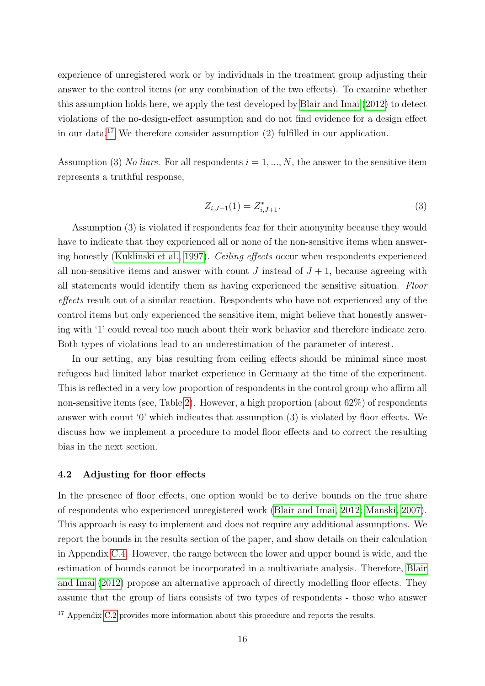experience of unregistered work or by individuals in the treatment group adjusting their answer to the control items (or any combination of the two effects). To examine whether this assumption holds here, we apply the test developed by [Blair and Imai](#page-28-9) [\(2012\)](#page-28-9) to detect violations of the no-design-effect assumption and do not find evidence for a design effect in our data.[17](#page-16-0) We therefore consider assumption (2) fulfilled in our application.

Assumption (3) No liars. For all respondents  $i = 1, ..., N$ , the answer to the sensitive item represents a truthful response,

$$
Z_{i,J+1}(1) = Z_{i,J+1}^*.
$$
\n(3)

Assumption (3) is violated if respondents fear for their anonymity because they would have to indicate that they experienced all or none of the non-sensitive items when answering honestly [\(Kuklinski et al., 1997\)](#page-30-4). Ceiling effects occur when respondents experienced all non-sensitive items and answer with count J instead of  $J + 1$ , because agreeing with all statements would identify them as having experienced the sensitive situation. Floor effects result out of a similar reaction. Respondents who have not experienced any of the control items but only experienced the sensitive item, might believe that honestly answering with '1' could reveal too much about their work behavior and therefore indicate zero. Both types of violations lead to an underestimation of the parameter of interest.

In our setting, any bias resulting from ceiling effects should be minimal since most refugees had limited labor market experience in Germany at the time of the experiment. This is reflected in a very low proportion of respondents in the control group who affirm all non-sensitive items (see, Table [2\)](#page-19-0). However, a high proportion (about 62%) of respondents answer with count '0' which indicates that assumption (3) is violated by floor effects. We discuss how we implement a procedure to model floor effects and to correct the resulting bias in the next section.

#### 4.2 Adjusting for floor effects

In the presence of floor effects, one option would be to derive bounds on the true share of respondents who experienced unregistered work [\(Blair and Imai, 2012;](#page-28-9) [Manski, 2007\)](#page-31-11). This approach is easy to implement and does not require any additional assumptions. We report the bounds in the results section of the paper, and show details on their calculation in Appendix [C.4.](#page-39-0) However, the range between the lower and upper bound is wide, and the estimation of bounds cannot be incorporated in a multivariate analysis. Therefore, [Blair](#page-28-9) [and Imai](#page-28-9) [\(2012\)](#page-28-9) propose an alternative approach of directly modelling floor effects. They assume that the group of liars consists of two types of respondents - those who answer

<span id="page-16-0"></span> $\frac{17}{17}$  Appendix [C.2](#page-10-1) provides more information about this procedure and reports the results.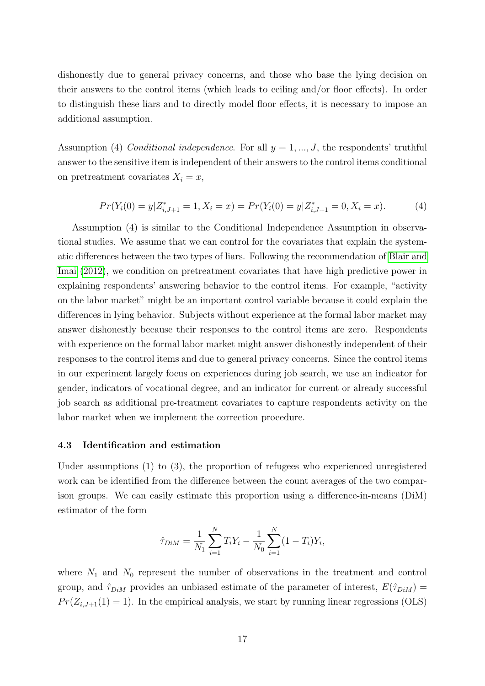dishonestly due to general privacy concerns, and those who base the lying decision on their answers to the control items (which leads to ceiling and/or floor effects). In order to distinguish these liars and to directly model floor effects, it is necessary to impose an additional assumption.

Assumption (4) Conditional independence. For all  $y = 1, ..., J$ , the respondents' truthful answer to the sensitive item is independent of their answers to the control items conditional on pretreatment covariates  $X_i = x$ ,

$$
Pr(Y_i(0) = y | Z_{i,J+1}^* = 1, X_i = x) = Pr(Y_i(0) = y | Z_{i,J+1}^* = 0, X_i = x).
$$
\n(4)

Assumption (4) is similar to the Conditional Independence Assumption in observational studies. We assume that we can control for the covariates that explain the systematic differences between the two types of liars. Following the recommendation of [Blair and](#page-28-9) [Imai](#page-28-9) [\(2012\)](#page-28-9), we condition on pretreatment covariates that have high predictive power in explaining respondents' answering behavior to the control items. For example, "activity on the labor market" might be an important control variable because it could explain the differences in lying behavior. Subjects without experience at the formal labor market may answer dishonestly because their responses to the control items are zero. Respondents with experience on the formal labor market might answer dishonestly independent of their responses to the control items and due to general privacy concerns. Since the control items in our experiment largely focus on experiences during job search, we use an indicator for gender, indicators of vocational degree, and an indicator for current or already successful job search as additional pre-treatment covariates to capture respondents activity on the labor market when we implement the correction procedure.

#### 4.3 Identification and estimation

Under assumptions (1) to (3), the proportion of refugees who experienced unregistered work can be identified from the difference between the count averages of the two comparison groups. We can easily estimate this proportion using a difference-in-means (DiM) estimator of the form

$$
\hat{\tau}_{DiM} = \frac{1}{N_1} \sum_{i=1}^{N} T_i Y_i - \frac{1}{N_0} \sum_{i=1}^{N} (1 - T_i) Y_i,
$$

where  $N_1$  and  $N_0$  represent the number of observations in the treatment and control group, and  $\hat{\tau}_{DiM}$  provides an unbiased estimate of the parameter of interest,  $E(\hat{\tau}_{DiM}) =$  $Pr(Z_{i,J+1}(1) = 1)$ . In the empirical analysis, we start by running linear regressions (OLS)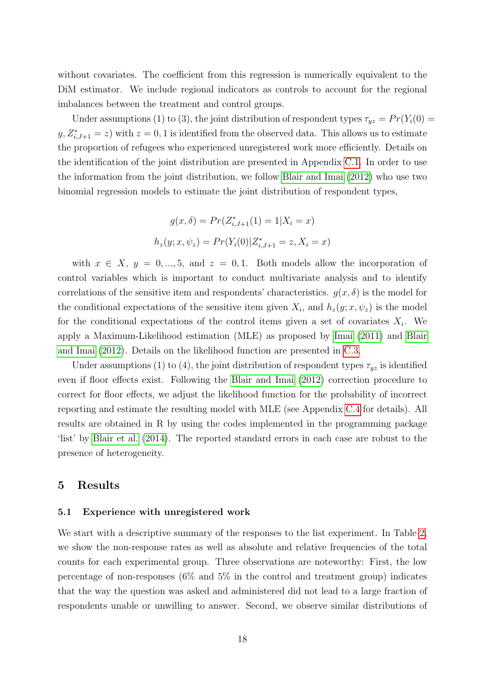without covariates. The coefficient from this regression is numerically equivalent to the DiM estimator. We include regional indicators as controls to account for the regional imbalances between the treatment and control groups.

Under assumptions (1) to (3), the joint distribution of respondent types  $\tau_{yz} = Pr(Y_i(0) =$  $y, Z_{i,J+1}^* = z$  with  $z = 0, 1$  is identified from the observed data. This allows us to estimate the proportion of refugees who experienced unregistered work more efficiently. Details on the identification of the joint distribution are presented in Appendix [C.1.](#page-9-1) In order to use the information from the joint distribution, we follow [Blair and Imai](#page-28-9) [\(2012\)](#page-28-9) who use two binomial regression models to estimate the joint distribution of respondent types,

$$
g(x, \delta) = Pr(Z_{i,J+1}^*(1) = 1 | X_i = x)
$$

$$
h_z(y; x, \psi_z) = Pr(Y_i(0) | Z_{i,J+1}^* = z, X_i = x)
$$

with  $x \in X$ ,  $y = 0, ..., 5$ , and  $z = 0, 1$ . Both models allow the incorporation of control variables which is important to conduct multivariate analysis and to identify correlations of the sensitive item and respondents' characteristics.  $g(x, \delta)$  is the model for the conditional expectations of the sensitive item given  $X_i$ , and  $h_z(y; x, \psi_z)$  is the model for the conditional expectations of the control items given a set of covariates  $X_i$ . We apply a Maximum-Likelihood estimation (MLE) as proposed by [Imai](#page-30-12) [\(2011\)](#page-30-12) and [Blair](#page-28-9) [and Imai](#page-28-9) [\(2012\)](#page-28-9). Details on the likelihood function are presented in [C.3.](#page-12-1)

Under assumptions (1) to (4), the joint distribution of respondent types  $\tau_{yz}$  is identified even if floor effects exist. Following the [Blair and Imai](#page-28-9) [\(2012\)](#page-28-9) correction procedure to correct for floor effects, we adjust the likelihood function for the probability of incorrect reporting and estimate the resulting model with MLE (see Appendix [C.4](#page-39-0) for details). All results are obtained in R by using the codes implemented in the programming package 'list' by [Blair et al.](#page-28-10) [\(2014\)](#page-28-10). The reported standard errors in each case are robust to the presence of heterogeneity.

#### 5 Results

#### 5.1 Experience with unregistered work

We start with a descriptive summary of the responses to the list experiment. In Table [2,](#page-19-0) we show the non-response rates as well as absolute and relative frequencies of the total counts for each experimental group. Three observations are noteworthy: First, the low percentage of non-responses  $(6\%$  and  $5\%$  in the control and treatment group) indicates that the way the question was asked and administered did not lead to a large fraction of respondents unable or unwilling to answer. Second, we observe similar distributions of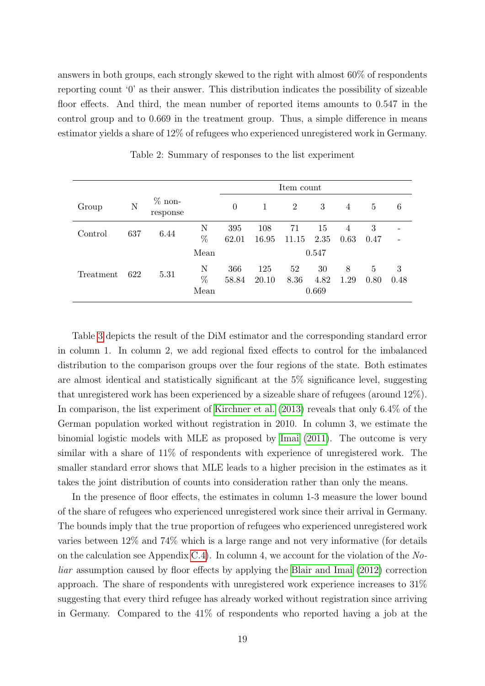answers in both groups, each strongly skewed to the right with almost 60% of respondents reporting count '0' as their answer. This distribution indicates the possibility of sizeable floor effects. And third, the mean number of reported items amounts to 0.547 in the control group and to 0.669 in the treatment group. Thus, a simple difference in means estimator yields a share of 12% of refugees who experienced unregistered work in Germany.

<span id="page-19-0"></span>

|           |     |                       |                | Item count   |              |                |                     |                |           |           |
|-----------|-----|-----------------------|----------------|--------------|--------------|----------------|---------------------|----------------|-----------|-----------|
| Group     | N   | $\%$ non-<br>response |                | $\theta$     | 1            | $\overline{2}$ | 3                   | $\overline{4}$ | 5         | 6         |
| Control   | 637 | 6.44                  | N<br>%         | 395<br>62.01 | 108<br>16.95 | 71<br>11.15    | 15<br>2.35          | 4<br>0.63      | 3<br>0.47 |           |
|           |     |                       | Mean           |              |              |                | 0.547               |                |           |           |
| Treatment | 622 | 5.31                  | N<br>%<br>Mean | 366<br>58.84 | 125<br>20.10 | 52<br>8.36     | 30<br>4.82<br>0.669 | 8<br>1.29      | 5<br>0.80 | 3<br>0.48 |

Table 2: Summary of responses to the list experiment

Table [3](#page-20-0) depicts the result of the DiM estimator and the corresponding standard error in column 1. In column 2, we add regional fixed effects to control for the imbalanced distribution to the comparison groups over the four regions of the state. Both estimates are almost identical and statistically significant at the 5% significance level, suggesting that unregistered work has been experienced by a sizeable share of refugees (around 12%). In comparison, the list experiment of [Kirchner et al.](#page-30-5) [\(2013\)](#page-30-5) reveals that only 6.4% of the German population worked without registration in 2010. In column 3, we estimate the binomial logistic models with MLE as proposed by [Imai](#page-30-12) [\(2011\)](#page-30-12). The outcome is very similar with a share of 11% of respondents with experience of unregistered work. The smaller standard error shows that MLE leads to a higher precision in the estimates as it takes the joint distribution of counts into consideration rather than only the means.

In the presence of floor effects, the estimates in column 1-3 measure the lower bound of the share of refugees who experienced unregistered work since their arrival in Germany. The bounds imply that the true proportion of refugees who experienced unregistered work varies between 12% and 74% which is a large range and not very informative (for details on the calculation see Appendix [C.4\)](#page-39-0). In column 4, we account for the violation of the  $No$ liar assumption caused by floor effects by applying the [Blair and Imai](#page-28-9) [\(2012\)](#page-28-9) correction approach. The share of respondents with unregistered work experience increases to 31% suggesting that every third refugee has already worked without registration since arriving in Germany. Compared to the 41% of respondents who reported having a job at the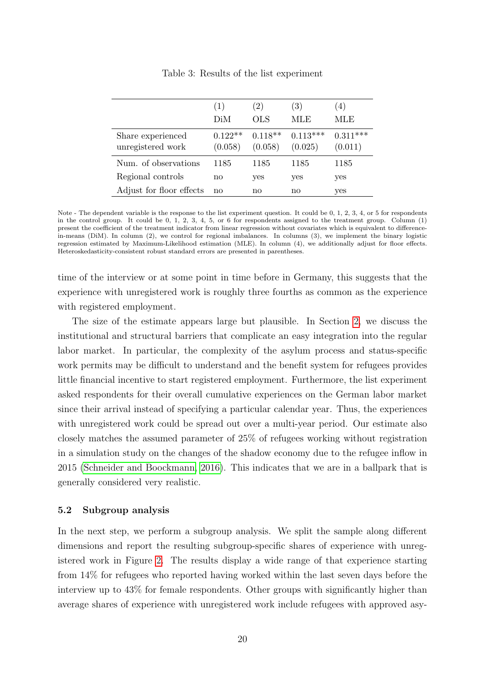<span id="page-20-0"></span>

|                                        | (1)<br>DiM           | (2)<br>OLS           | (3)<br>MLE            | 4)<br>MLE             |
|----------------------------------------|----------------------|----------------------|-----------------------|-----------------------|
| Share experienced<br>unregistered work | $0.122**$<br>(0.058) | $0.118**$<br>(0.058) | $0.113***$<br>(0.025) | $0.311***$<br>(0.011) |
| Num. of observations                   | 1185                 | 1185                 | 1185                  | 1185                  |
| Regional controls                      | no                   | yes                  | yes                   | yes                   |
| Adjust for floor effects               | no                   | no                   | no                    | yes                   |

Table 3: Results of the list experiment

time of the interview or at some point in time before in Germany, this suggests that the experience with unregistered work is roughly three fourths as common as the experience with registered employment.

The size of the estimate appears large but plausible. In Section [2,](#page-4-1) we discuss the institutional and structural barriers that complicate an easy integration into the regular labor market. In particular, the complexity of the asylum process and status-specific work permits may be difficult to understand and the benefit system for refugees provides little financial incentive to start registered employment. Furthermore, the list experiment asked respondents for their overall cumulative experiences on the German labor market since their arrival instead of specifying a particular calendar year. Thus, the experiences with unregistered work could be spread out over a multi-year period. Our estimate also closely matches the assumed parameter of 25% of refugees working without registration in a simulation study on the changes of the shadow economy due to the refugee inflow in 2015 [\(Schneider and Boockmann, 2016\)](#page-31-3). This indicates that we are in a ballpark that is generally considered very realistic.

#### 5.2 Subgroup analysis

In the next step, we perform a subgroup analysis. We split the sample along different dimensions and report the resulting subgroup-specific shares of experience with unregistered work in Figure [2.](#page-21-0) The results display a wide range of that experience starting from 14% for refugees who reported having worked within the last seven days before the interview up to 43% for female respondents. Other groups with significantly higher than average shares of experience with unregistered work include refugees with approved asy-

Note - The dependent variable is the response to the list experiment question. It could be 0, 1, 2, 3, 4, or 5 for respondents in the control group. It could be 0, 1, 2, 3, 4, 5, or 6 for respondents assigned to the treatment group. Column (1) present the coefficient of the treatment indicator from linear regression without covariates which is equivalent to differencein-means (DiM). In column (2), we control for regional imbalances. In columns (3), we implement the binary logistic regression estimated by Maximum-Likelihood estimation (MLE). In column (4), we additionally adjust for floor effects. Heteroskedasticity-consistent robust standard errors are presented in parentheses.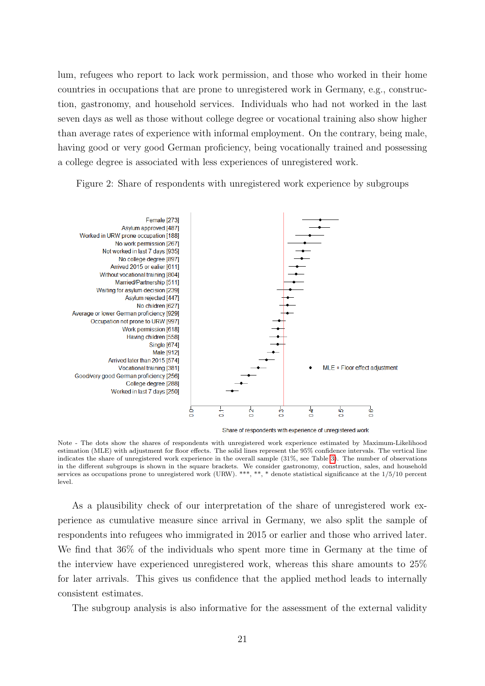lum, refugees who report to lack work permission, and those who worked in their home countries in occupations that are prone to unregistered work in Germany, e.g., construction, gastronomy, and household services. Individuals who had not worked in the last seven days as well as those without college degree or vocational training also show higher than average rates of experience with informal employment. On the contrary, being male, having good or very good German proficiency, being vocationally trained and possessing a college degree is associated with less experiences of unregistered work.

<span id="page-21-0"></span>Figure 2: Share of respondents with unregistered work experience by subgroups



Share of respondents with experience of unregistered work

Note - The dots show the shares of respondents with unregistered work experience estimated by Maximum-Likelihood estimation (MLE) with adjustment for floor effects. The solid lines represent the 95% confidence intervals. The vertical line indicates the share of unregistered work experience in the overall sample (31%, see Table [3\)](#page-20-0). The number of observations in the different subgroups is shown in the square brackets. We consider gastronomy, construction, sales, and household services as occupations prone to unregistered work (URW). \*\*\*, \*\*, \* denote statistical significance at the 1/5/10 percent level.

As a plausibility check of our interpretation of the share of unregistered work experience as cumulative measure since arrival in Germany, we also split the sample of respondents into refugees who immigrated in 2015 or earlier and those who arrived later. We find that 36% of the individuals who spent more time in Germany at the time of the interview have experienced unregistered work, whereas this share amounts to 25% for later arrivals. This gives us confidence that the applied method leads to internally consistent estimates.

The subgroup analysis is also informative for the assessment of the external validity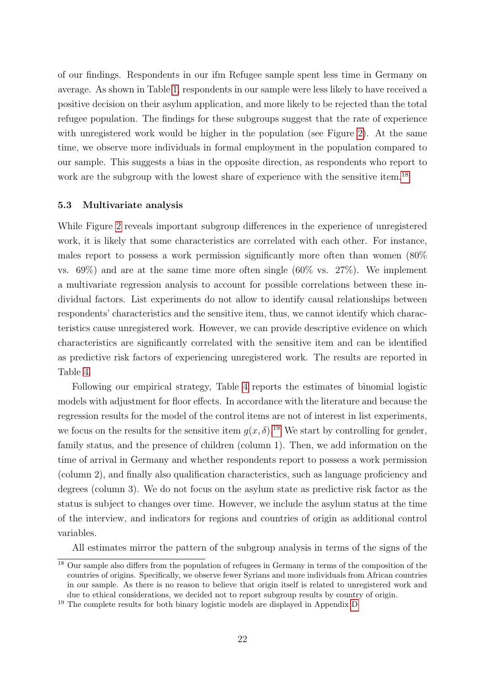of our findings. Respondents in our ifm Refugee sample spent less time in Germany on average. As shown in Table [1,](#page-13-0) respondents in our sample were less likely to have received a positive decision on their asylum application, and more likely to be rejected than the total refugee population. The findings for these subgroups suggest that the rate of experience with unregistered work would be higher in the population (see Figure [2\)](#page-21-0). At the same time, we observe more individuals in formal employment in the population compared to our sample. This suggests a bias in the opposite direction, as respondents who report to work are the subgroup with the lowest share of experience with the sensitive item.<sup>[18](#page-22-0)</sup>

#### 5.3 Multivariate analysis

While Figure [2](#page-21-0) reveals important subgroup differences in the experience of unregistered work, it is likely that some characteristics are correlated with each other. For instance, males report to possess a work permission significantly more often than women (80% vs. 69%) and are at the same time more often single (60% vs. 27%). We implement a multivariate regression analysis to account for possible correlations between these individual factors. List experiments do not allow to identify causal relationships between respondents' characteristics and the sensitive item, thus, we cannot identify which characteristics cause unregistered work. However, we can provide descriptive evidence on which characteristics are significantly correlated with the sensitive item and can be identified as predictive risk factors of experiencing unregistered work. The results are reported in Table [4.](#page-23-0)

Following our empirical strategy, Table [4](#page-23-0) reports the estimates of binomial logistic models with adjustment for floor effects. In accordance with the literature and because the regression results for the model of the control items are not of interest in list experiments, we focus on the results for the sensitive item  $g(x, \delta)$ .<sup>[19](#page-22-1)</sup> We start by controlling for gender, family status, and the presence of children (column 1). Then, we add information on the time of arrival in Germany and whether respondents report to possess a work permission (column 2), and finally also qualification characteristics, such as language proficiency and degrees (column 3). We do not focus on the asylum state as predictive risk factor as the status is subject to changes over time. However, we include the asylum status at the time of the interview, and indicators for regions and countries of origin as additional control variables.

All estimates mirror the pattern of the subgroup analysis in terms of the signs of the

<span id="page-22-0"></span><sup>&</sup>lt;sup>18</sup> Our sample also differs from the population of refugees in Germany in terms of the composition of the countries of origins. Specifically, we observe fewer Syrians and more individuals from African countries in our sample. As there is no reason to believe that origin itself is related to unregistered work and due to ethical considerations, we decided not to report subgroup results by country of origin.

<span id="page-22-1"></span><sup>&</sup>lt;sup>19</sup> The complete results for both binary logistic models are displayed in Appendix [D](#page-14-0)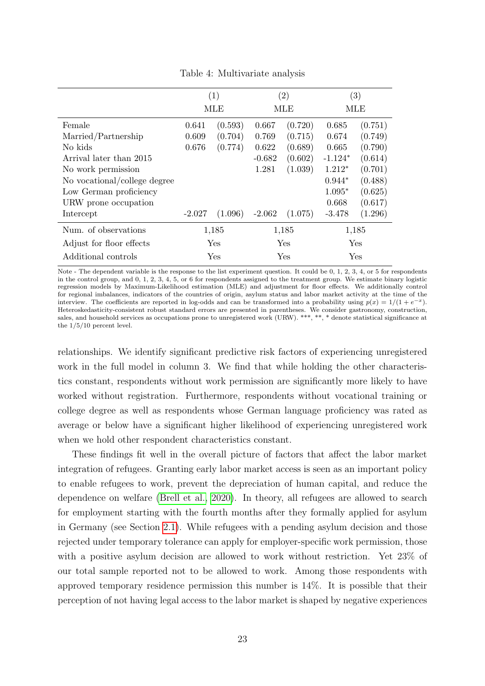<span id="page-23-0"></span>

|                              | (1)      |            |          | $\left( 2\right)$ |           | $\left( 3\right)$ |
|------------------------------|----------|------------|----------|-------------------|-----------|-------------------|
|                              |          | MLE        |          | MLE               |           | MLE               |
| Female                       | 0.641    | (0.593)    | 0.667    | (0.720)           | 0.685     | (0.751)           |
| Married/Partnership          | 0.609    | (0.704)    | 0.769    | (0.715)           | 0.674     | (0.749)           |
| No kids                      | 0.676    | (0.774)    | 0.622    | (0.689)           | 0.665     | (0.790)           |
| Arrival later than 2015      |          |            | $-0.682$ | (0.602)           | $-1.124*$ | (0.614)           |
| No work permission           |          |            | 1.281    | (1.039)           | $1.212*$  | (0.701)           |
| No vocational/college degree |          |            |          |                   | $0.944*$  | (0.488)           |
| Low German proficiency       |          |            |          |                   | $1.095*$  | (0.625)           |
| URW prone occupation         |          |            |          |                   | 0.668     | (0.617)           |
| Intercept                    | $-2.027$ | (1.096)    | $-2.062$ | (1.075)           | $-3.478$  | (1.296)           |
| Num. of observations         |          | 1,185      |          | 1,185             |           | 1,185             |
| Adjust for floor effects     |          | <b>Yes</b> |          | Yes               |           | Yes               |
| Additional controls          |          | Yes        |          | Yes               |           | Yes               |

Table 4: Multivariate analysis

Note - The dependent variable is the response to the list experiment question. It could be 0, 1, 2, 3, 4, or 5 for respondents in the control group, and 0, 1, 2, 3, 4, 5, or 6 for respondents assigned to the treatment group. We estimate binary logistic regression models by Maximum-Likelihood estimation (MLE) and adjustment for floor effects. We additionally control for regional imbalances, indicators of the countries of origin, asylum status and labor market activity at the time of the interview. The coefficients are reported in log-odds and can be transformed into a probability using  $p(x) = 1/(1 + e^{-x})$ . Heteroskedasticity-consistent robust standard errors are presented in parentheses. We consider gastronomy, construction, sales, and household services as occupations prone to unregistered work (URW). \*\*\*, \*\*, \* denote statistical significance at the 1/5/10 percent level.

relationships. We identify significant predictive risk factors of experiencing unregistered work in the full model in column 3. We find that while holding the other characteristics constant, respondents without work permission are significantly more likely to have worked without registration. Furthermore, respondents without vocational training or college degree as well as respondents whose German language proficiency was rated as average or below have a significant higher likelihood of experiencing unregistered work when we hold other respondent characteristics constant.

These findings fit well in the overall picture of factors that affect the labor market integration of refugees. Granting early labor market access is seen as an important policy to enable refugees to work, prevent the depreciation of human capital, and reduce the dependence on welfare [\(Brell et al., 2020\)](#page-28-0). In theory, all refugees are allowed to search for employment starting with the fourth months after they formally applied for asylum in Germany (see Section [2.1\)](#page-5-5). While refugees with a pending asylum decision and those rejected under temporary tolerance can apply for employer-specific work permission, those with a positive asylum decision are allowed to work without restriction. Yet 23% of our total sample reported not to be allowed to work. Among those respondents with approved temporary residence permission this number is 14%. It is possible that their perception of not having legal access to the labor market is shaped by negative experiences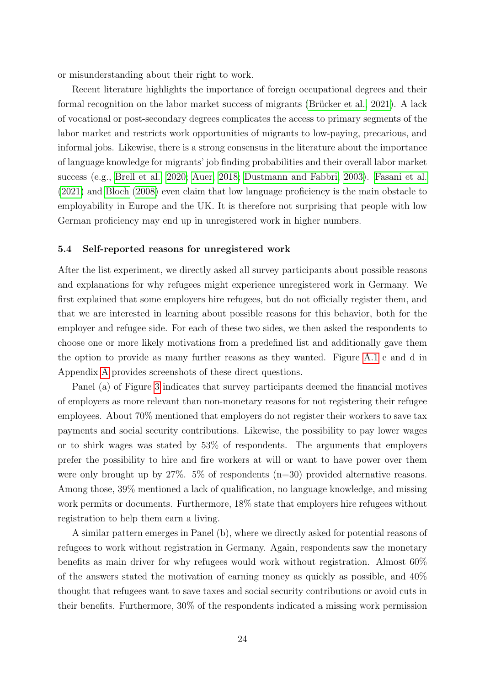or misunderstanding about their right to work.

Recent literature highlights the importance of foreign occupational degrees and their formal recognition on the labor market success of migrants (Brücker et al.,  $2021$ ). A lack of vocational or post-secondary degrees complicates the access to primary segments of the labor market and restricts work opportunities of migrants to low-paying, precarious, and informal jobs. Likewise, there is a strong consensus in the literature about the importance of language knowledge for migrants' job finding probabilities and their overall labor market success (e.g., [Brell et al., 2020;](#page-28-0) [Auer, 2018;](#page-27-5) [Dustmann and Fabbri, 2003\)](#page-29-12). [Fasani et al.](#page-29-1) [\(2021\)](#page-29-1) and [Bloch](#page-28-12) [\(2008\)](#page-28-12) even claim that low language proficiency is the main obstacle to employability in Europe and the UK. It is therefore not surprising that people with low German proficiency may end up in unregistered work in higher numbers.

#### 5.4 Self-reported reasons for unregistered work

After the list experiment, we directly asked all survey participants about possible reasons and explanations for why refugees might experience unregistered work in Germany. We first explained that some employers hire refugees, but do not officially register them, and that we are interested in learning about possible reasons for this behavior, both for the employer and refugee side. For each of these two sides, we then asked the respondents to choose one or more likely motivations from a predefined list and additionally gave them the option to provide as many further reasons as they wanted. Figure [A.1](#page-33-0) c and d in Appendix [A](#page-2-1) provides screenshots of these direct questions.

Panel (a) of Figure [3](#page-25-0) indicates that survey participants deemed the financial motives of employers as more relevant than non-monetary reasons for not registering their refugee employees. About 70% mentioned that employers do not register their workers to save tax payments and social security contributions. Likewise, the possibility to pay lower wages or to shirk wages was stated by 53% of respondents. The arguments that employers prefer the possibility to hire and fire workers at will or want to have power over them were only brought up by  $27\%$ . 5% of respondents (n=30) provided alternative reasons. Among those, 39% mentioned a lack of qualification, no language knowledge, and missing work permits or documents. Furthermore, 18% state that employers hire refugees without registration to help them earn a living.

A similar pattern emerges in Panel (b), where we directly asked for potential reasons of refugees to work without registration in Germany. Again, respondents saw the monetary benefits as main driver for why refugees would work without registration. Almost 60% of the answers stated the motivation of earning money as quickly as possible, and 40% thought that refugees want to save taxes and social security contributions or avoid cuts in their benefits. Furthermore, 30% of the respondents indicated a missing work permission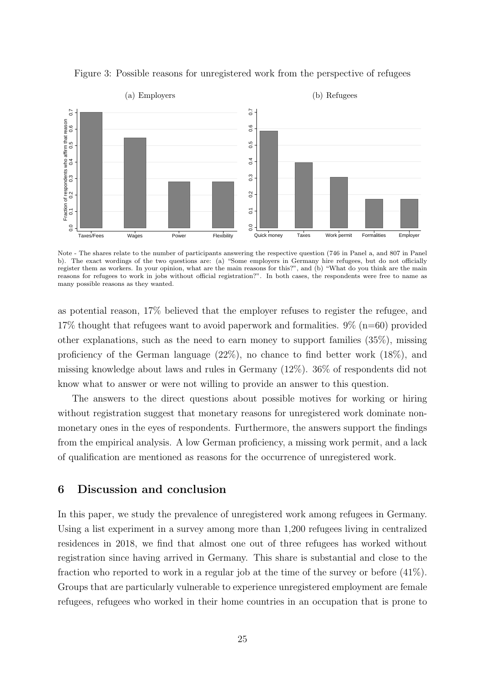

<span id="page-25-0"></span>Figure 3: Possible reasons for unregistered work from the perspective of refugees

Note - The shares relate to the number of participants answering the respective question (746 in Panel a, and 807 in Panel b). The exact wordings of the two questions are: (a) "Some employers in Germany hire refugees, but do not officially register them as workers. In your opinion, what are the main reasons for this?", and (b) "What do you think are the main reasons for refugees to work in jobs without official registration?". In both cases, the respondents were free to name as many possible reasons as they wanted.

as potential reason, 17% believed that the employer refuses to register the refugee, and 17% thought that refugees want to avoid paperwork and formalities. 9% (n=60) provided other explanations, such as the need to earn money to support families (35%), missing proficiency of the German language (22%), no chance to find better work (18%), and missing knowledge about laws and rules in Germany (12%). 36% of respondents did not know what to answer or were not willing to provide an answer to this question.

The answers to the direct questions about possible motives for working or hiring without registration suggest that monetary reasons for unregistered work dominate nonmonetary ones in the eyes of respondents. Furthermore, the answers support the findings from the empirical analysis. A low German proficiency, a missing work permit, and a lack of qualification are mentioned as reasons for the occurrence of unregistered work.

## 6 Discussion and conclusion

In this paper, we study the prevalence of unregistered work among refugees in Germany. Using a list experiment in a survey among more than 1,200 refugees living in centralized residences in 2018, we find that almost one out of three refugees has worked without registration since having arrived in Germany. This share is substantial and close to the fraction who reported to work in a regular job at the time of the survey or before (41%). Groups that are particularly vulnerable to experience unregistered employment are female refugees, refugees who worked in their home countries in an occupation that is prone to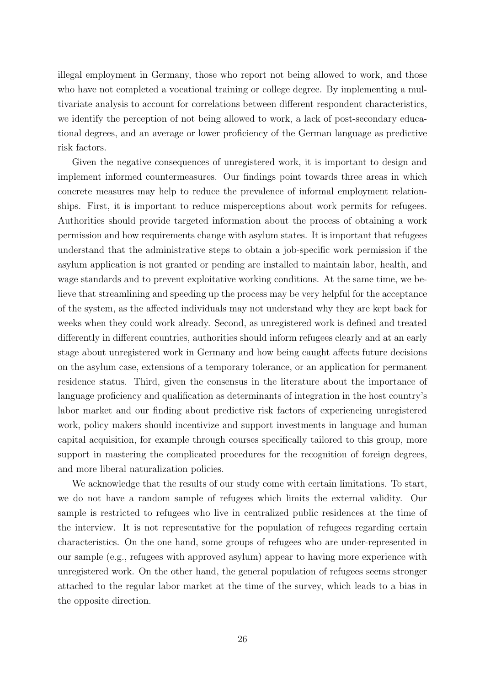illegal employment in Germany, those who report not being allowed to work, and those who have not completed a vocational training or college degree. By implementing a multivariate analysis to account for correlations between different respondent characteristics, we identify the perception of not being allowed to work, a lack of post-secondary educational degrees, and an average or lower proficiency of the German language as predictive risk factors.

Given the negative consequences of unregistered work, it is important to design and implement informed countermeasures. Our findings point towards three areas in which concrete measures may help to reduce the prevalence of informal employment relationships. First, it is important to reduce misperceptions about work permits for refugees. Authorities should provide targeted information about the process of obtaining a work permission and how requirements change with asylum states. It is important that refugees understand that the administrative steps to obtain a job-specific work permission if the asylum application is not granted or pending are installed to maintain labor, health, and wage standards and to prevent exploitative working conditions. At the same time, we believe that streamlining and speeding up the process may be very helpful for the acceptance of the system, as the affected individuals may not understand why they are kept back for weeks when they could work already. Second, as unregistered work is defined and treated differently in different countries, authorities should inform refugees clearly and at an early stage about unregistered work in Germany and how being caught affects future decisions on the asylum case, extensions of a temporary tolerance, or an application for permanent residence status. Third, given the consensus in the literature about the importance of language proficiency and qualification as determinants of integration in the host country's labor market and our finding about predictive risk factors of experiencing unregistered work, policy makers should incentivize and support investments in language and human capital acquisition, for example through courses specifically tailored to this group, more support in mastering the complicated procedures for the recognition of foreign degrees, and more liberal naturalization policies.

We acknowledge that the results of our study come with certain limitations. To start, we do not have a random sample of refugees which limits the external validity. Our sample is restricted to refugees who live in centralized public residences at the time of the interview. It is not representative for the population of refugees regarding certain characteristics. On the one hand, some groups of refugees who are under-represented in our sample (e.g., refugees with approved asylum) appear to having more experience with unregistered work. On the other hand, the general population of refugees seems stronger attached to the regular labor market at the time of the survey, which leads to a bias in the opposite direction.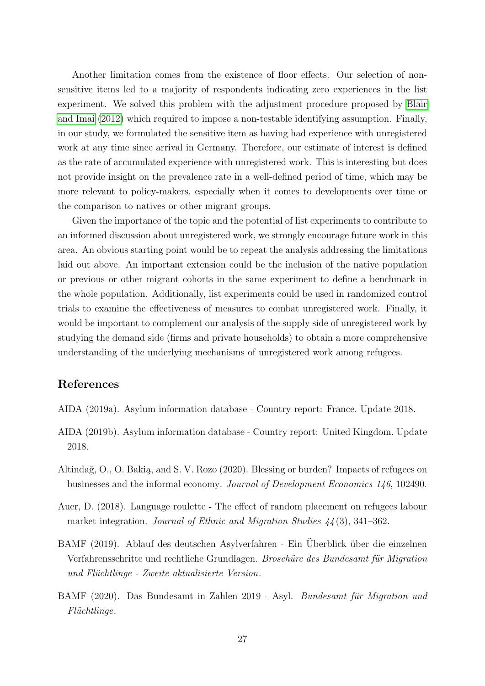Another limitation comes from the existence of floor effects. Our selection of nonsensitive items led to a majority of respondents indicating zero experiences in the list experiment. We solved this problem with the adjustment procedure proposed by [Blair](#page-28-9) [and Imai](#page-28-9) [\(2012\)](#page-28-9) which required to impose a non-testable identifying assumption. Finally, in our study, we formulated the sensitive item as having had experience with unregistered work at any time since arrival in Germany. Therefore, our estimate of interest is defined as the rate of accumulated experience with unregistered work. This is interesting but does not provide insight on the prevalence rate in a well-defined period of time, which may be more relevant to policy-makers, especially when it comes to developments over time or the comparison to natives or other migrant groups.

Given the importance of the topic and the potential of list experiments to contribute to an informed discussion about unregistered work, we strongly encourage future work in this area. An obvious starting point would be to repeat the analysis addressing the limitations laid out above. An important extension could be the inclusion of the native population or previous or other migrant cohorts in the same experiment to define a benchmark in the whole population. Additionally, list experiments could be used in randomized control trials to examine the effectiveness of measures to combat unregistered work. Finally, it would be important to complement our analysis of the supply side of unregistered work by studying the demand side (firms and private households) to obtain a more comprehensive understanding of the underlying mechanisms of unregistered work among refugees.

#### References

- <span id="page-27-3"></span>AIDA (2019a). Asylum information database - Country report: France. Update 2018.
- <span id="page-27-2"></span>AIDA (2019b). Asylum information database - Country report: United Kingdom. Update 2018.
- <span id="page-27-0"></span>Altindağ, O., O. Bakią, and S. V. Rozo (2020). Blessing or burden? Impacts of refugees on businesses and the informal economy. Journal of Development Economics 146, 102490.
- <span id="page-27-5"></span>Auer, D. (2018). Language roulette - The effect of random placement on refugees labour market integration. Journal of Ethnic and Migration Studies  $44(3)$ , 341–362.
- <span id="page-27-1"></span>BAMF (2019). Ablauf des deutschen Asylverfahren - Ein Überblick über die einzelnen Verfahrensschritte und rechtliche Grundlagen. Broschüre des Bundesamt für Migration und Flüchtlinge - Zweite aktualisierte Version.
- <span id="page-27-4"></span>BAMF (2020). Das Bundesamt in Zahlen 2019 - Asyl. Bundesamt für Migration und  $Fliichtlinge.$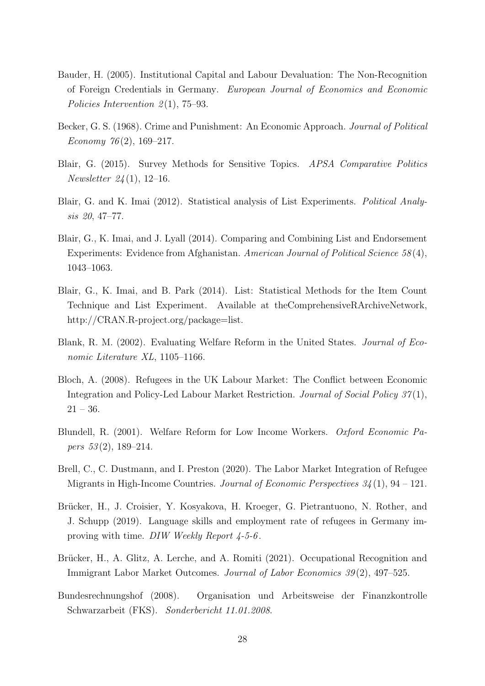- <span id="page-28-6"></span>Bauder, H. (2005). Institutional Capital and Labour Devaluation: The Non-Recognition of Foreign Credentials in Germany. European Journal of Economics and Economic Policies Intervention  $2(1)$ , 75–93.
- <span id="page-28-3"></span>Becker, G. S. (1968). Crime and Punishment: An Economic Approach. *Journal of Political* Economy  $76(2)$ , 169-217.
- <span id="page-28-2"></span>Blair, G. (2015). Survey Methods for Sensitive Topics. APSA Comparative Politics Newsletter 24 (1), 12–16.
- <span id="page-28-9"></span>Blair, G. and K. Imai (2012). Statistical analysis of List Experiments. Political Analysis 20, 47–77.
- <span id="page-28-1"></span>Blair, G., K. Imai, and J. Lyall (2014). Comparing and Combining List and Endorsement Experiments: Evidence from Afghanistan. American Journal of Political Science 58 (4), 1043–1063.
- <span id="page-28-10"></span>Blair, G., K. Imai, and B. Park (2014). List: Statistical Methods for the Item Count Technique and List Experiment. Available at theComprehensiveRArchiveNetwork, http://CRAN.R-project.org/package=list.
- <span id="page-28-4"></span>Blank, R. M. (2002). Evaluating Welfare Reform in the United States. Journal of Economic Literature XL, 1105–1166.
- <span id="page-28-12"></span>Bloch, A. (2008). Refugees in the UK Labour Market: The Conflict between Economic Integration and Policy-Led Labour Market Restriction. Journal of Social Policy 37 (1),  $21 - 36.$
- <span id="page-28-5"></span>Blundell, R. (2001). Welfare Reform for Low Income Workers. Oxford Economic Pa*pers*  $53(2)$ , 189–214.
- <span id="page-28-0"></span>Brell, C., C. Dustmann, and I. Preston (2020). The Labor Market Integration of Refugee Migrants in High-Income Countries. Journal of Economic Perspectives  $34(1)$ , 94 – 121.
- <span id="page-28-8"></span>Brücker, H., J. Croisier, Y. Kosyakova, H. Kroeger, G. Pietrantuono, N. Rother, and J. Schupp (2019). Language skills and employment rate of refugees in Germany improving with time. DIW Weekly Report 4-5-6 .
- <span id="page-28-11"></span>Brücker, H., A. Glitz, A. Lerche, and A. Romiti (2021). Occupational Recognition and Immigrant Labor Market Outcomes. Journal of Labor Economics 39 (2), 497–525.
- <span id="page-28-7"></span>Bundesrechnungshof (2008). Organisation und Arbeitsweise der Finanzkontrolle Schwarzarbeit (FKS). Sonderbericht 11.01.2008.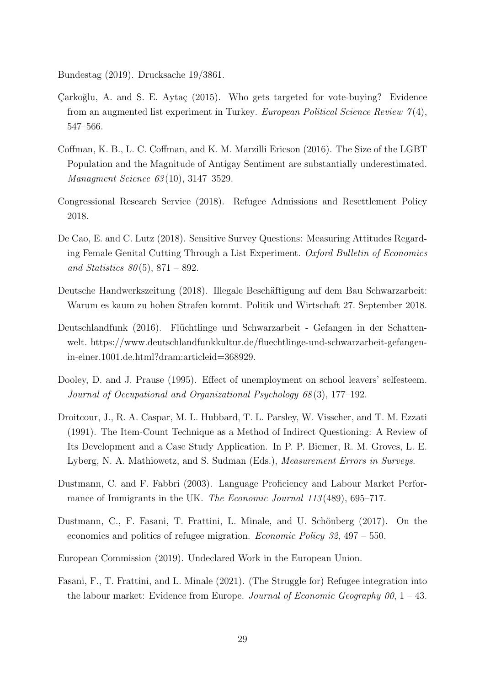<span id="page-29-8"></span>Bundestag (2019). Drucksache 19/3861.

- <span id="page-29-5"></span>Çarkoğlu, A. and S. E. Aytaç (2015). Who gets targeted for vote-buying? Evidence from an augmented list experiment in Turkey. European Political Science Review  $7(4)$ , 547–566.
- <span id="page-29-6"></span>Coffman, K. B., L. C. Coffman, and K. M. Marzilli Ericson (2016). The Size of the LGBT Population and the Magnitude of Antigay Sentiment are substantially underestimated. Managment Science 63(10), 3147–3529.
- <span id="page-29-9"></span>Congressional Research Service (2018). Refugee Admissions and Resettlement Policy 2018.
- <span id="page-29-7"></span>De Cao, E. and C. Lutz (2018). Sensitive Survey Questions: Measuring Attitudes Regarding Female Genital Cutting Through a List Experiment. Oxford Bulletin of Economics and Statistics  $80(5)$ ,  $871 - 892$ .
- <span id="page-29-11"></span>Deutsche Handwerkszeitung (2018). Illegale Beschäftigung auf dem Bau Schwarzarbeit: Warum es kaum zu hohen Strafen kommt. Politik und Wirtschaft 27. September 2018.
- <span id="page-29-3"></span>Deutschlandfunk (2016). Flüchtlinge und Schwarzarbeit - Gefangen in der Schattenwelt. https://www.deutschlandfunkkultur.de/fluechtlinge-und-schwarzarbeit-gefangenin-einer.1001.de.html?dram:articleid=368929.
- <span id="page-29-10"></span>Dooley, D. and J. Prause (1995). Effect of unemployment on school leavers' selfesteem. Journal of Occupational and Organizational Psychology 68 (3), 177–192.
- <span id="page-29-4"></span>Droitcour, J., R. A. Caspar, M. L. Hubbard, T. L. Parsley, W. Visscher, and T. M. Ezzati (1991). The Item-Count Technique as a Method of Indirect Questioning: A Review of Its Development and a Case Study Application. In P. P. Biemer, R. M. Groves, L. E. Lyberg, N. A. Mathiowetz, and S. Sudman (Eds.), Measurement Errors in Surveys.
- <span id="page-29-12"></span>Dustmann, C. and F. Fabbri (2003). Language Proficiency and Labour Market Performance of Immigrants in the UK. The Economic Journal 113(489), 695–717.
- <span id="page-29-0"></span>Dustmann, C., F. Fasani, T. Frattini, L. Minale, and U. Schönberg (2017). On the economics and politics of refugee migration. Economic Policy 32, 497 – 550.
- <span id="page-29-2"></span>European Commission (2019). Undeclared Work in the European Union.
- <span id="page-29-1"></span>Fasani, F., T. Frattini, and L. Minale (2021). (The Struggle for) Refugee integration into the labour market: Evidence from Europe. Journal of Economic Geography 00, 1 – 43.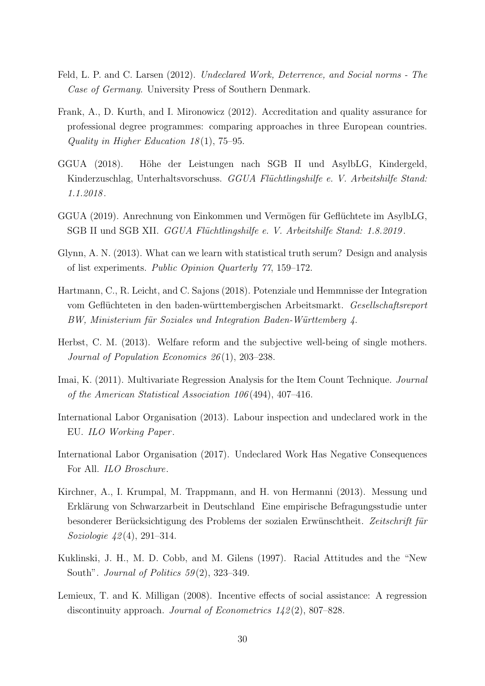- <span id="page-30-3"></span>Feld, L. P. and C. Larsen (2012). Undeclared Work, Deterrence, and Social norms - The Case of Germany. University Press of Southern Denmark.
- <span id="page-30-9"></span>Frank, A., D. Kurth, and I. Mironowicz (2012). Accreditation and quality assurance for professional degree programmes: comparing approaches in three European countries. Quality in Higher Education  $18(1)$ , 75–95.
- <span id="page-30-6"></span>GGUA (2018). Höhe der Leistungen nach SGB II und AsylbLG, Kindergeld, Kinderzuschlag, Unterhaltsvorschuss. GGUA Flüchtlingshilfe e. V. Arbeitshilfe Stand: 1.1.2018 .
- <span id="page-30-7"></span>GGUA (2019). Anrechnung von Einkommen und Vermögen für Geflüchtete im AsylbLG, SGB II und SGB XII. *GGUA Flüchtlingshilfe e. V. Arbeitshilfe Stand: 1.8.2019*.
- <span id="page-30-11"></span>Glynn, A. N. (2013). What can we learn with statistical truth serum? Design and analysis of list experiments. Public Opinion Quarterly 77, 159–172.
- <span id="page-30-0"></span>Hartmann, C., R. Leicht, and C. Sajons (2018). Potenziale und Hemmnisse der Integration vom Geflüchteten in den baden-württembergischen Arbeitsmarkt. Gesellschaftsreport BW, Ministerium für Soziales und Integration Baden-Württemberg 4.
- <span id="page-30-10"></span>Herbst, C. M. (2013). Welfare reform and the subjective well-being of single mothers. Journal of Population Economics 26 (1), 203–238.
- <span id="page-30-12"></span>Imai, K. (2011). Multivariate Regression Analysis for the Item Count Technique. Journal of the American Statistical Association 106 (494), 407–416.
- <span id="page-30-2"></span>International Labor Organisation (2013). Labour inspection and undeclared work in the EU. ILO Working Paper .
- <span id="page-30-1"></span>International Labor Organisation (2017). Undeclared Work Has Negative Consequences For All. ILO Broschure.
- <span id="page-30-5"></span>Kirchner, A., I. Krumpal, M. Trappmann, and H. von Hermanni (2013). Messung und Erklärung von Schwarzarbeit in Deutschland Eine empirische Befragungsstudie unter besonderer Berücksichtigung des Problems der sozialen Erwünschtheit. Zeitschrift für Soziologie 42(4), 291–314.
- <span id="page-30-4"></span>Kuklinski, J. H., M. D. Cobb, and M. Gilens (1997). Racial Attitudes and the "New South". Journal of Politics  $59(2)$ , 323-349.
- <span id="page-30-8"></span>Lemieux, T. and K. Milligan (2008). Incentive effects of social assistance: A regression discontinuity approach. *Journal of Econometrics 142(2)*, 807–828.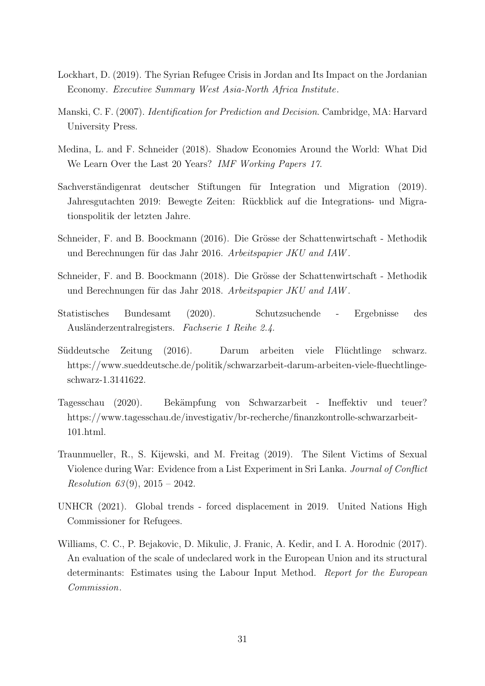- <span id="page-31-6"></span>Lockhart, D. (2019). The Syrian Refugee Crisis in Jordan and Its Impact on the Jordanian Economy. Executive Summary West Asia-North Africa Institute.
- <span id="page-31-11"></span>Manski, C. F. (2007). Identification for Prediction and Decision. Cambridge, MA: Harvard University Press.
- <span id="page-31-7"></span>Medina, L. and F. Schneider (2018). Shadow Economies Around the World: What Did We Learn Over the Last 20 Years? IMF Working Papers 17.
- <span id="page-31-9"></span>Sachverständigenrat deutscher Stiftungen für Integration und Migration (2019). Jahresgutachten 2019: Bewegte Zeiten: Rückblick auf die Integrations- und Migrationspolitik der letzten Jahre.
- <span id="page-31-3"></span>Schneider, F. and B. Boockmann (2016). Die Grösse der Schattenwirtschaft - Methodik und Berechnungen für das Jahr 2016. Arbeitspapier JKU and IAW.
- <span id="page-31-4"></span>Schneider, F. and B. Boockmann (2018). Die Grösse der Schattenwirtschaft - Methodik und Berechnungen für das Jahr 2018. Arbeitspapier JKU and IAW.
- <span id="page-31-8"></span>Statistisches Bundesamt (2020). Schutzsuchende - Ergebnisse des Ausländerzentralregisters. Fachserie 1 Reihe 2.4.
- <span id="page-31-1"></span>Süddeutsche Zeitung (2016). Darum arbeiten viele Flüchtlinge schwarz. https://www.sueddeutsche.de/politik/schwarzarbeit-darum-arbeiten-viele-fluechtlingeschwarz-1.3141622.
- <span id="page-31-10"></span>Tagesschau (2020). Bekämpfung von Schwarzarbeit - Ineffektiv und teuer? https://www.tagesschau.de/investigativ/br-recherche/finanzkontrolle-schwarzarbeit-101.html.
- <span id="page-31-2"></span>Traunmueller, R., S. Kijewski, and M. Freitag (2019). The Silent Victims of Sexual Violence during War: Evidence from a List Experiment in Sri Lanka. Journal of Conflict *Resolution* 63(9), 2015 – 2042.
- <span id="page-31-0"></span>UNHCR (2021). Global trends - forced displacement in 2019. United Nations High Commissioner for Refugees.
- <span id="page-31-5"></span>Williams, C. C., P. Bejakovic, D. Mikulic, J. Franic, A. Kedir, and I. A. Horodnic (2017). An evaluation of the scale of undeclared work in the European Union and its structural determinants: Estimates using the Labour Input Method. Report for the European Commission.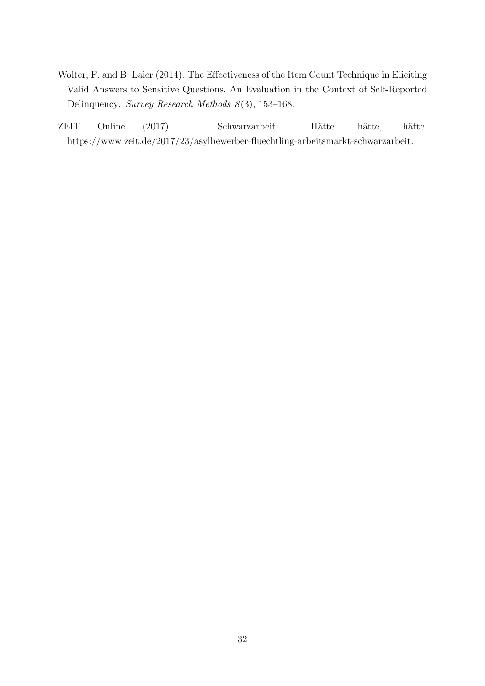- <span id="page-32-1"></span>Wolter, F. and B. Laier (2014). The Effectiveness of the Item Count Technique in Eliciting Valid Answers to Sensitive Questions. An Evaluation in the Context of Self-Reported Delinquency. Survey Research Methods 8(3), 153-168.
- <span id="page-32-0"></span>ZEIT Online (2017). Schwarzarbeit: Hätte, hätte, hätte. https://www.zeit.de/2017/23/asylbewerber-fluechtling-arbeitsmarkt-schwarzarbeit.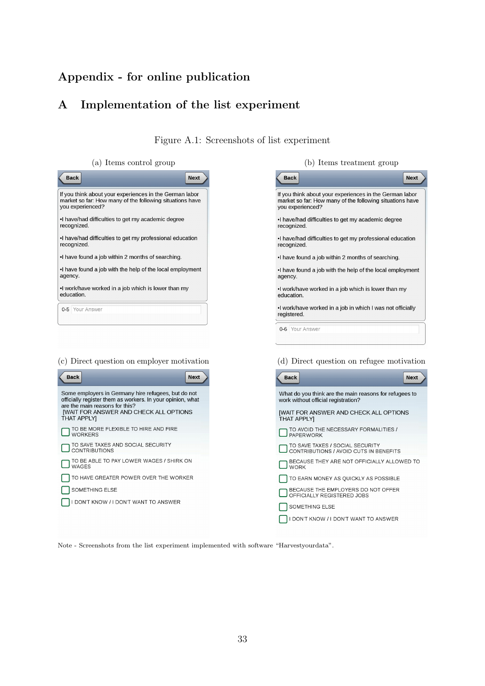## Appendix - for online publication

## <span id="page-33-0"></span>A Implementation of the list experiment

Figure A.1: Screenshots of list experiment

 $(a)$  Items control group

| <b>Back</b>                                                                                                                             | <b>Next</b> |
|-----------------------------------------------------------------------------------------------------------------------------------------|-------------|
| If you think about your experiences in the German labor<br>market so far: How many of the following situations have<br>you experienced? |             |
| I have/had difficulties to get my academic degree<br>recognized.                                                                        |             |
| I have/had difficulties to get my professional education<br>recognized.                                                                 |             |
| •I have found a job within 2 months of searching.                                                                                       |             |
| . I have found a job with the help of the local employment<br>agency.                                                                   |             |
| •I work/have worked in a job which is lower than my<br>education.                                                                       |             |
| 0-5 Your Answer                                                                                                                         |             |
|                                                                                                                                         |             |

#### (c) Direct question on employer motivation



| (b) Items treatment group                                                                                                               |             |  |  |  |  |  |  |
|-----------------------------------------------------------------------------------------------------------------------------------------|-------------|--|--|--|--|--|--|
| <b>Back</b>                                                                                                                             | <b>Next</b> |  |  |  |  |  |  |
| If you think about your experiences in the German labor<br>market so far: How many of the following situations have<br>you experienced? |             |  |  |  |  |  |  |
| I have/had difficulties to get my academic degree<br>recognized.                                                                        |             |  |  |  |  |  |  |
| •I have/had difficulties to get my professional education<br>recognized.                                                                |             |  |  |  |  |  |  |
| •I have found a job within 2 months of searching.                                                                                       |             |  |  |  |  |  |  |
| I have found a job with the help of the local employment<br>agency.                                                                     |             |  |  |  |  |  |  |
| •I work/have worked in a job which is lower than my<br>education                                                                        |             |  |  |  |  |  |  |
| •I work/have worked in a job in which I was not officially<br>registered.                                                               |             |  |  |  |  |  |  |
| 0-6 Your Answer                                                                                                                         |             |  |  |  |  |  |  |
|                                                                                                                                         |             |  |  |  |  |  |  |
| (d) Direct question on refugee motivation                                                                                               |             |  |  |  |  |  |  |

| <b>Back</b>                                                                                   | <b>Next</b> |
|-----------------------------------------------------------------------------------------------|-------------|
| What do you think are the main reasons for refugees to<br>work without official registration? |             |
| <b>IWAIT FOR ANSWER AND CHECK ALL OPTIONS</b><br><b>THAT APPLYI</b>                           |             |
| TO AVOID THE NECESSARY FORMALITIES /<br><b>PAPERWORK</b>                                      |             |
| TO SAVE TAXES / SOCIAL SECURITY<br>CONTRIBUTIONS / AVOID CUTS IN BENEFITS                     |             |
| BECAUSE THEY ARE NOT OFFICIALLY ALLOWED TO<br><b>WORK</b>                                     |             |
| TO EARN MONEY AS QUICKLY AS POSSIBLE                                                          |             |
| BECAUSE THE EMPLOYERS DO NOT OFFER<br>OFFICIALLY REGISTERED JOBS                              |             |
| SOMETHING ELSE                                                                                |             |
| DON'T KNOW / I DON'T WANT TO ANSWER                                                           |             |

Note - Screenshots from the list experiment implemented with software "Harvestyourdata".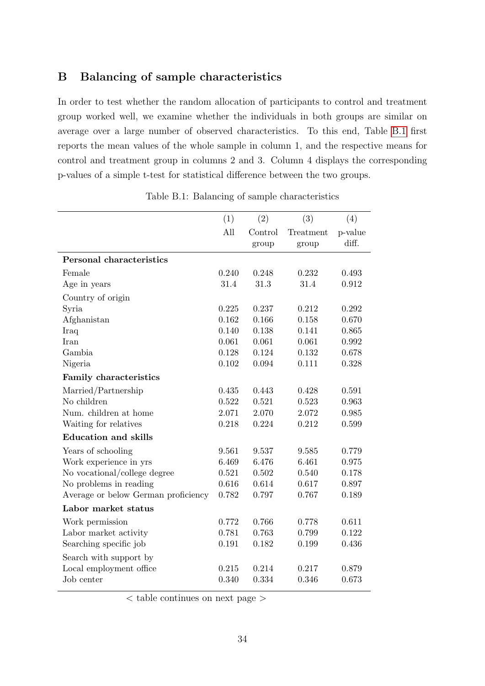## B Balancing of sample characteristics

In order to test whether the random allocation of participants to control and treatment group worked well, we examine whether the individuals in both groups are similar on average over a large number of observed characteristics. To this end, Table [B.1](#page-34-0) first reports the mean values of the whole sample in column 1, and the respective means for control and treatment group in columns 2 and 3. Column 4 displays the corresponding p-values of a simple t-test for statistical difference between the two groups.

<span id="page-34-0"></span>

|                                     | (1)   | (2)     | (3)       | (4)     |
|-------------------------------------|-------|---------|-----------|---------|
|                                     | All   | Control | Treatment | p-value |
|                                     |       | group   | group     | diff.   |
| Personal characteristics            |       |         |           |         |
| Female                              | 0.240 | 0.248   | 0.232     | 0.493   |
| Age in years                        | 31.4  | 31.3    | 31.4      | 0.912   |
| Country of origin                   |       |         |           |         |
| Syria                               | 0.225 | 0.237   | 0.212     | 0.292   |
| Afghanistan                         | 0.162 | 0.166   | 0.158     | 0.670   |
| Iraq                                | 0.140 | 0.138   | 0.141     | 0.865   |
| Iran                                | 0.061 | 0.061   | 0.061     | 0.992   |
| Gambia                              | 0.128 | 0.124   | 0.132     | 0.678   |
| Nigeria                             | 0.102 | 0.094   | 0.111     | 0.328   |
| <b>Family characteristics</b>       |       |         |           |         |
| Married/Partnership                 | 0.435 | 0.443   | 0.428     | 0.591   |
| No children                         | 0.522 | 0.521   | 0.523     | 0.963   |
| Num. children at home               | 2.071 | 2.070   | 2.072     | 0.985   |
| Waiting for relatives               | 0.218 | 0.224   | 0.212     | 0.599   |
| <b>Education and skills</b>         |       |         |           |         |
| Years of schooling                  | 9.561 | 9.537   | 9.585     | 0.779   |
| Work experience in yrs              | 6.469 | 6.476   | 6.461     | 0.975   |
| No vocational/college degree        | 0.521 | 0.502   | 0.540     | 0.178   |
| No problems in reading              | 0.616 | 0.614   | 0.617     | 0.897   |
| Average or below German proficiency | 0.782 | 0.797   | 0.767     | 0.189   |
| Labor market status                 |       |         |           |         |
| Work permission                     | 0.772 | 0.766   | 0.778     | 0.611   |
| Labor market activity               | 0.781 | 0.763   | 0.799     | 0.122   |
| Searching specific job              | 0.191 | 0.182   | 0.199     | 0.436   |
| Search with support by              |       |         |           |         |
| Local employment office             | 0.215 | 0.214   | 0.217     | 0.879   |
| Job center                          | 0.340 | 0.334   | 0.346     | 0.673   |
|                                     |       |         |           |         |

Table B.1: Balancing of sample characteristics

< table continues on next page >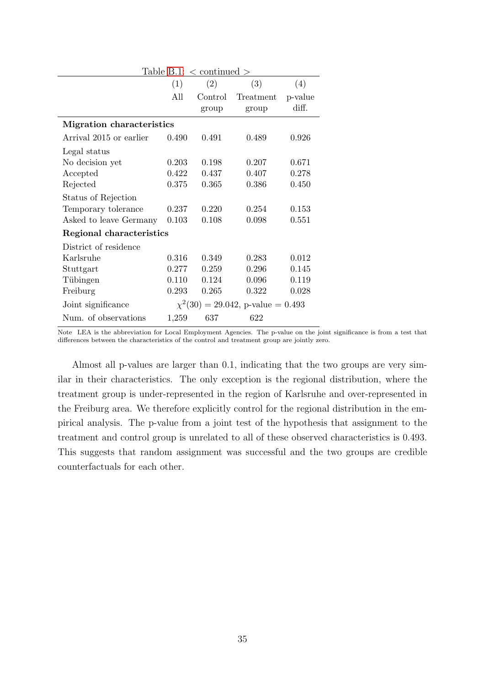| Table B.1: $\langle$ continued $\rangle$ |       |         |                                         |         |  |  |  |
|------------------------------------------|-------|---------|-----------------------------------------|---------|--|--|--|
|                                          | (1)   | (2)     | (3)                                     | (4)     |  |  |  |
|                                          | All   | Control | Treatment                               | p-value |  |  |  |
|                                          |       | group   | group                                   | diff.   |  |  |  |
| <b>Migration characteristics</b>         |       |         |                                         |         |  |  |  |
| Arrival 2015 or earlier                  | 0.490 | 0.491   | 0.489                                   | 0.926   |  |  |  |
| Legal status                             |       |         |                                         |         |  |  |  |
| No decision yet                          | 0.203 | 0.198   | 0.207                                   | 0.671   |  |  |  |
| Accepted                                 | 0.422 | 0.437   | 0.407                                   | 0.278   |  |  |  |
| Rejected                                 | 0.375 | 0.365   | 0.386                                   | 0.450   |  |  |  |
| Status of Rejection                      |       |         |                                         |         |  |  |  |
| Temporary tolerance                      | 0.237 | 0.220   | 0.254                                   | 0.153   |  |  |  |
| Asked to leave Germany                   | 0.103 | 0.108   | 0.098                                   | 0.551   |  |  |  |
| Regional characteristics                 |       |         |                                         |         |  |  |  |
| District of residence                    |       |         |                                         |         |  |  |  |
| Karlsruhe                                | 0.316 | 0.349   | 0.283                                   | 0.012   |  |  |  |
| Stuttgart                                | 0.277 | 0.259   | 0.296                                   | 0.145   |  |  |  |
| Tübingen                                 | 0.110 | 0.124   | 0.096                                   | 0.119   |  |  |  |
| Freiburg                                 | 0.293 | 0.265   | 0.322                                   | 0.028   |  |  |  |
| Joint significance                       |       |         | $\chi^2(30) = 29.042$ , p-value = 0.493 |         |  |  |  |
| Num. of observations                     | 1,259 | 637     | 622                                     |         |  |  |  |

Note LEA is the abbreviation for Local Employment Agencies. The p-value on the joint significance is from a test that differences between the characteristics of the control and treatment group are jointly zero.

Almost all p-values are larger than 0.1, indicating that the two groups are very similar in their characteristics. The only exception is the regional distribution, where the treatment group is under-represented in the region of Karlsruhe and over-represented in the Freiburg area. We therefore explicitly control for the regional distribution in the empirical analysis. The p-value from a joint test of the hypothesis that assignment to the treatment and control group is unrelated to all of these observed characteristics is 0.493. This suggests that random assignment was successful and the two groups are credible counterfactuals for each other.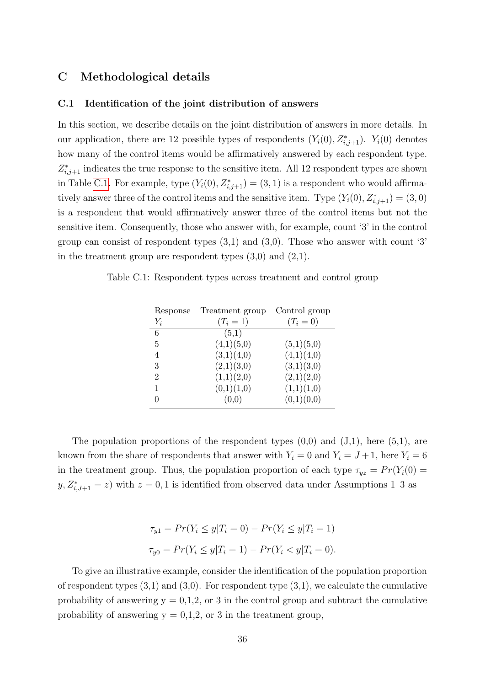## C Methodological details

#### C.1 Identification of the joint distribution of answers

In this section, we describe details on the joint distribution of answers in more details. In our application, there are 12 possible types of respondents  $(Y_i(0), Z_{i,j+1}^*)$ .  $Y_i(0)$  denotes how many of the control items would be affirmatively answered by each respondent type.  $Z_{i,j+1}^*$  indicates the true response to the sensitive item. All 12 respondent types are shown in Table [C.1.](#page-36-0) For example, type  $(Y_i(0), Z_{i,j+1}^*) = (3, 1)$  is a respondent who would affirmatively answer three of the control items and the sensitive item. Type  $(Y_i(0), Z^*_{i,j+1}) = (3,0)$ is a respondent that would affirmatively answer three of the control items but not the sensitive item. Consequently, those who answer with, for example, count '3' in the control group can consist of respondent types  $(3,1)$  and  $(3,0)$ . Those who answer with count '3' in the treatment group are respondent types  $(3,0)$  and  $(2,1)$ .

<span id="page-36-0"></span>Table C.1: Respondent types across treatment and control group

| Response       | Treatment group | Control group |
|----------------|-----------------|---------------|
| $Y_i$          | $(T_i = 1)$     | $(T_i = 0)$   |
| 6              | (5,1)           |               |
| 5              | (4,1)(5,0)      | (5,1)(5,0)    |
| 4              | (3,1)(4,0)      | (4,1)(4,0)    |
| 3              | (2,1)(3,0)      | (3,1)(3,0)    |
| $\overline{2}$ | (1,1)(2,0)      | (2,1)(2,0)    |
| 1              | (0,1)(1,0)      | (1,1)(1,0)    |
|                | (0,0)           | (0,1)(0,0)    |

The population proportions of the respondent types  $(0,0)$  and  $(J,1)$ , here  $(5,1)$ , are known from the share of respondents that answer with  $Y_i = 0$  and  $Y_i = J + 1$ , here  $Y_i = 6$ in the treatment group. Thus, the population proportion of each type  $\tau_{yz} = Pr(Y_i(0) =$  $y, Z_{i,J+1}^* = z$  with  $z = 0, 1$  is identified from observed data under Assumptions 1–3 as

$$
\tau_{y1} = Pr(Y_i \le y | T_i = 0) - Pr(Y_i \le y | T_i = 1)
$$
  

$$
\tau_{y0} = Pr(Y_i \le y | T_i = 1) - Pr(Y_i < y | T_i = 0).
$$

To give an illustrative example, consider the identification of the population proportion of respondent types  $(3,1)$  and  $(3,0)$ . For respondent type  $(3,1)$ , we calculate the cumulative probability of answering  $y = 0,1,2$ , or 3 in the control group and subtract the cumulative probability of answering  $y = 0,1,2$ , or 3 in the treatment group,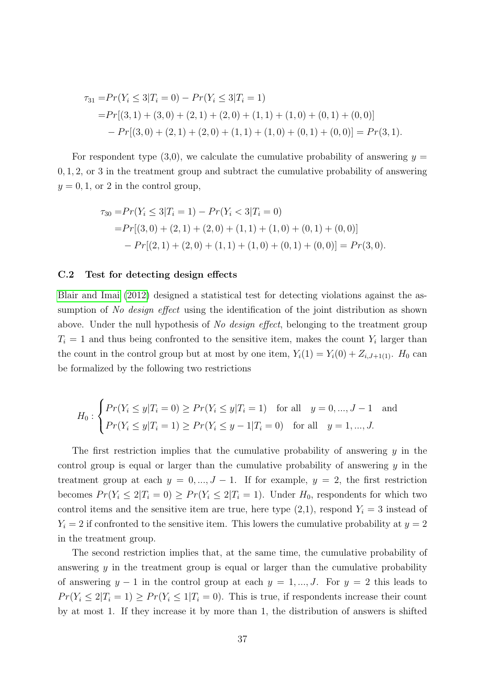$$
\tau_{31} = Pr(Y_i \le 3 | T_i = 0) - Pr(Y_i \le 3 | T_i = 1)
$$
  
= 
$$
Pr[(3, 1) + (3, 0) + (2, 1) + (2, 0) + (1, 1) + (1, 0) + (0, 1) + (0, 0)]
$$
  
- 
$$
Pr[(3, 0) + (2, 1) + (2, 0) + (1, 1) + (1, 0) + (0, 1) + (0, 0)] = Pr(3, 1).
$$

For respondent type  $(3,0)$ , we calculate the cumulative probability of answering  $y =$ 0, 1, 2, or 3 in the treatment group and subtract the cumulative probability of answering  $y = 0, 1$ , or 2 in the control group,

$$
\tau_{30} = Pr(Y_i \le 3 | T_i = 1) - Pr(Y_i < 3 | T_i = 0)
$$
\n
$$
= Pr[(3, 0) + (2, 1) + (2, 0) + (1, 1) + (1, 0) + (0, 1) + (0, 0)]
$$
\n
$$
- Pr[(2, 1) + (2, 0) + (1, 1) + (1, 0) + (0, 1) + (0, 0)] = Pr(3, 0).
$$

#### C.2 Test for detecting design effects

[Blair and Imai](#page-28-9) [\(2012\)](#page-28-9) designed a statistical test for detecting violations against the assumption of No design effect using the identification of the joint distribution as shown above. Under the null hypothesis of No design effect, belonging to the treatment group  $T_i = 1$  and thus being confronted to the sensitive item, makes the count  $Y_i$  larger than the count in the control group but at most by one item,  $Y_i(1) = Y_i(0) + Z_{i,J+1(1)}$ .  $H_0$  can be formalized by the following two restrictions

$$
H_0: \begin{cases} Pr(Y_i \le y | T_i = 0) \ge Pr(Y_i \le y | T_i = 1) & \text{for all} \quad y = 0, ..., J - 1 \quad \text{and} \\ Pr(Y_i \le y | T_i = 1) \ge Pr(Y_i \le y - 1 | T_i = 0) & \text{for all} \quad y = 1, ..., J. \end{cases}
$$

The first restriction implies that the cumulative probability of answering  $y$  in the control group is equal or larger than the cumulative probability of answering  $y$  in the treatment group at each  $y = 0, ..., J - 1$ . If for example,  $y = 2$ , the first restriction becomes  $Pr(Y_i \leq 2|T_i = 0) \geq Pr(Y_i \leq 2|T_i = 1)$ . Under  $H_0$ , respondents for which two control items and the sensitive item are true, here type  $(2,1)$ , respond  $Y_i = 3$  instead of  $Y_i = 2$  if confronted to the sensitive item. This lowers the cumulative probability at  $y = 2$ in the treatment group.

The second restriction implies that, at the same time, the cumulative probability of answering  $\gamma$  in the treatment group is equal or larger than the cumulative probability of answering  $y - 1$  in the control group at each  $y = 1, ..., J$ . For  $y = 2$  this leads to  $Pr(Y_i \leq 2|T_i = 1) \geq Pr(Y_i \leq 1|T_i = 0)$ . This is true, if respondents increase their count by at most 1. If they increase it by more than 1, the distribution of answers is shifted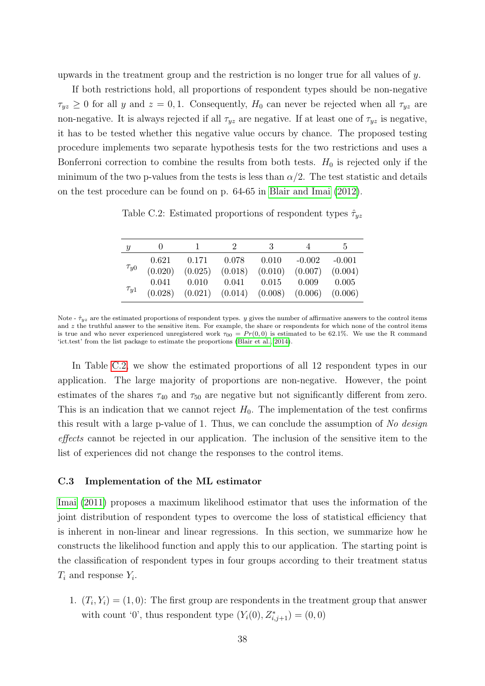upwards in the treatment group and the restriction is no longer true for all values of y.

If both restrictions hold, all proportions of respondent types should be non-negative  $\tau_{yz} \geq 0$  for all y and  $z = 0, 1$ . Consequently,  $H_0$  can never be rejected when all  $\tau_{yz}$  are non-negative. It is always rejected if all  $\tau_{yz}$  are negative. If at least one of  $\tau_{yz}$  is negative, it has to be tested whether this negative value occurs by chance. The proposed testing procedure implements two separate hypothesis tests for the two restrictions and uses a Bonferroni correction to combine the results from both tests.  $H_0$  is rejected only if the minimum of the two p-values from the tests is less than  $\alpha/2$ . The test statistic and details on the test procedure can be found on p. 64-65 in [Blair and Imai](#page-28-9) [\(2012\)](#page-28-9).

<span id="page-38-0"></span>Table C.2: Estimated proportions of respondent types  $\hat{\tau}_{yz}$ 

| Y           |                  |                                         |       | 3             | $\overline{4}$ | $\mathcal{L}$ |
|-------------|------------------|-----------------------------------------|-------|---------------|----------------|---------------|
|             | 0.621            | 0.171                                   | 0.078 | 0.010         | $-0.002$       | $-0.001$      |
| $\tau_{y0}$ | (0.020)          | $(0.025)$ $(0.018)$ $(0.010)$ $(0.007)$ |       |               |                | (0.004)       |
| $\tau_{y1}$ | 0.041<br>(0.028) | 0.010                                   | 0.041 | $0.015$ 0.009 |                | 0.005         |
|             |                  | $(0.021)$ $(0.014)$ $(0.008)$ $(0.006)$ |       |               |                | (0.006)       |

Note -  $\hat{\tau}_{yz}$  are the estimated proportions of respondent types. y gives the number of affirmative answers to the control items and z the truthful answer to the sensitive item. For example, the share or respondents for which none of the control items is true and who never experienced unregistered work  $\tau_{00} = Pr(0,0)$  is estimated to be 62.1%. We use the R command 'ict.test' from the list package to estimate the proportions [\(Blair et al., 2014\)](#page-28-10).

In Table [C.2,](#page-38-0) we show the estimated proportions of all 12 respondent types in our application. The large majority of proportions are non-negative. However, the point estimates of the shares  $\tau_{40}$  and  $\tau_{50}$  are negative but not significantly different from zero. This is an indication that we cannot reject  $H_0$ . The implementation of the test confirms this result with a large p-value of 1. Thus, we can conclude the assumption of No design effects cannot be rejected in our application. The inclusion of the sensitive item to the list of experiences did not change the responses to the control items.

#### C.3 Implementation of the ML estimator

[Imai](#page-30-12) [\(2011\)](#page-30-12) proposes a maximum likelihood estimator that uses the information of the joint distribution of respondent types to overcome the loss of statistical efficiency that is inherent in non-linear and linear regressions. In this section, we summarize how he constructs the likelihood function and apply this to our application. The starting point is the classification of respondent types in four groups according to their treatment status  $T_i$  and response  $Y_i$ .

1.  $(T_i, Y_i) = (1, 0)$ : The first group are respondents in the treatment group that answer with count '0', thus respondent type  $(Y_i(0), Z_{i,j+1}^*) = (0,0)$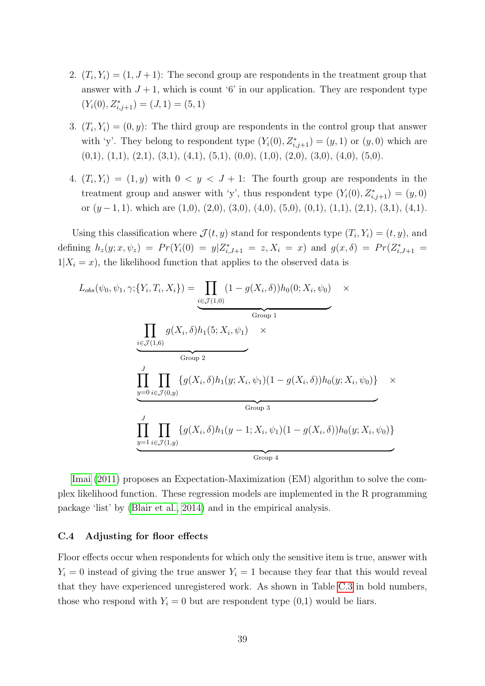- 2.  $(T_i, Y_i) = (1, J + 1)$ : The second group are respondents in the treatment group that answer with  $J + 1$ , which is count '6' in our application. They are respondent type  $(Y_i(0), Z_{i,j+1}^*) = (J, 1) = (5, 1)$
- 3.  $(T_i, Y_i) = (0, y)$ : The third group are respondents in the control group that answer with 'y'. They belong to respondent type  $(Y_i(0), Z_{i,j+1}^*) = (y, 1)$  or  $(y, 0)$  which are  $(0,1), (1,1), (2,1), (3,1), (4,1), (5,1), (0,0), (1,0), (2,0), (3,0), (4,0), (5,0).$
- 4.  $(T_i, Y_i) = (1, y)$  with  $0 < y < J + 1$ : The fourth group are respondents in the treatment group and answer with 'y', thus respondent type  $(Y_i(0), Z_{i,j+1}^*) = (y, 0)$ or  $(y - 1, 1)$ . which are  $(1,0), (2,0), (3,0), (4,0), (5,0), (0,1), (1,1), (2,1), (3,1), (4,1)$ .

Using this classification where  $\mathcal{J}(t, y)$  stand for respondents type  $(T_i, Y_i) = (t, y)$ , and defining  $h_z(y; x, \psi_z) = Pr(Y_i(0) = y | Z_{i,J+1}^* = z, X_i = x)$  and  $g(x, \delta) = Pr(Z_{i,J+1}^* = z, X_{i,J+1}^*)$  $1|X_i = x$ , the likelihood function that applies to the observed data is

$$
L_{obs}(\psi_0, \psi_1, \gamma; \{Y_i, T_i, X_i\}) = \underbrace{\prod_{i \in \mathcal{J}(1,0)} (1 - g(X_i, \delta))h_0(0; X_i, \psi_0)}_{Group 1} \times \underbrace{\prod_{i \in \mathcal{J}(1,6)} g(X_i, \delta)h_1(5; X_i, \psi_1) \times \prod_{\text{Group 2}} g(X_i, \delta)h_1(y; X_i, \psi_1)(1 - g(X_i, \delta))h_0(y; X_i, \psi_0)\} \times \underbrace{\prod_{y=0}^{J} \prod_{i \in \mathcal{J}(0,y)} \{g(X_i, \delta)h_1(y - 1; X_i, \psi_1)(1 - g(X_i, \delta))h_0(y; X_i, \psi_0)\}}_{Group 3} \times \underbrace{\prod_{y=1}^{J} \prod_{i \in \mathcal{J}(1,y)} \{g(X_i, \delta)h_1(y - 1; X_i, \psi_1)(1 - g(X_i, \delta))h_0(y; X_i, \psi_0)\}}
$$

[Imai](#page-30-12) [\(2011\)](#page-30-12) proposes an Expectation-Maximization (EM) algorithm to solve the complex likelihood function. These regression models are implemented in the R programming package 'list' by [\(Blair et al., 2014\)](#page-28-10) and in the empirical analysis.

#### <span id="page-39-0"></span>C.4 Adjusting for floor effects

Floor effects occur when respondents for which only the sensitive item is true, answer with  $Y_i = 0$  instead of giving the true answer  $Y_i = 1$  because they fear that this would reveal that they have experienced unregistered work. As shown in Table [C.3](#page-40-0) in bold numbers, those who respond with  $Y_i = 0$  but are respondent type  $(0,1)$  would be liars.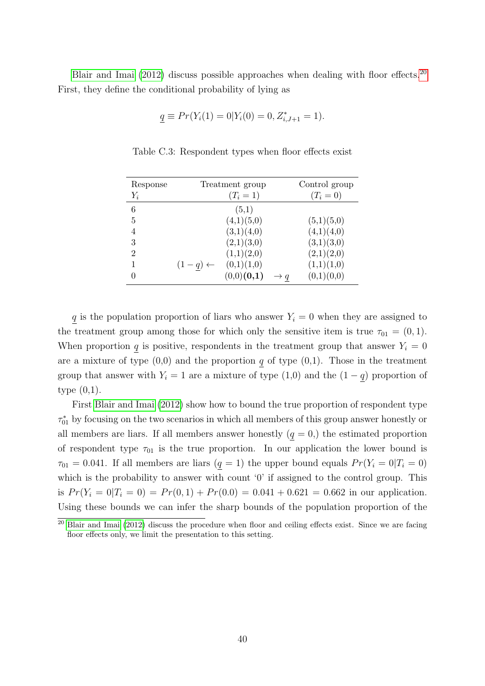<span id="page-40-0"></span>[Blair and Imai](#page-28-9) [\(2012\)](#page-28-9) discuss possible approaches when dealing with floor effects.<sup>[20](#page-40-1)</sup> First, they define the conditional probability of lying as

$$
\underline{q} \equiv Pr(Y_i(1) = 0 | Y_i(0) = 0, Z_{i,J+1}^* = 1).
$$

| Response       |                    | Treatment group |   | Control group |
|----------------|--------------------|-----------------|---|---------------|
| $Y_i$          |                    | $(T_i = 1)$     |   | $(T_i = 0)$   |
| 6              |                    | (5,1)           |   |               |
| 5              |                    | (4,1)(5,0)      |   | (5,1)(5,0)    |
| 4              |                    | (3,1)(4,0)      |   | (4,1)(4,0)    |
| 3              |                    | (2,1)(3,0)      |   | (3,1)(3,0)    |
| $\overline{2}$ |                    | (1,1)(2,0)      |   | (2,1)(2,0)    |
| 1              | $(1-q) \leftarrow$ | (0,1)(1,0)      |   | (1,1)(1,0)    |
| 0              |                    | $(0,0)$ $(0,1)$ | q | (0,1)(0,0)    |

Table C.3: Respondent types when floor effects exist

q is the population proportion of liars who answer  $Y_i = 0$  when they are assigned to the treatment group among those for which only the sensitive item is true  $\tau_{01} = (0, 1)$ . When proportion q is positive, respondents in the treatment group that answer  $Y_i = 0$ are a mixture of type  $(0,0)$  and the proportion q of type  $(0,1)$ . Those in the treatment group that answer with  $Y_i = 1$  are a mixture of type  $(1,0)$  and the  $(1-q)$  proportion of type (0,1).

First [Blair and Imai](#page-28-9) [\(2012\)](#page-28-9) show how to bound the true proportion of respondent type  $\tau_{01}^*$  by focusing on the two scenarios in which all members of this group answer honestly or all members are liars. If all members answer honestly  $(q = 0)$ , the estimated proportion of respondent type  $\tau_{01}$  is the true proportion. In our application the lower bound is  $\tau_{01} = 0.041$ . If all members are liars  $(q = 1)$  the upper bound equals  $Pr(Y_i = 0 | T_i = 0)$ which is the probability to answer with count '0' if assigned to the control group. This is  $Pr(Y_i = 0|T_i = 0) = Pr(0, 1) + Pr(0.0) = 0.041 + 0.621 = 0.662$  in our application. Using these bounds we can infer the sharp bounds of the population proportion of the

<span id="page-40-1"></span><sup>&</sup>lt;sup>20</sup> [Blair and Imai](#page-28-9) [\(2012\)](#page-28-9) discuss the procedure when floor and ceiling effects exist. Since we are facing floor effects only, we limit the presentation to this setting.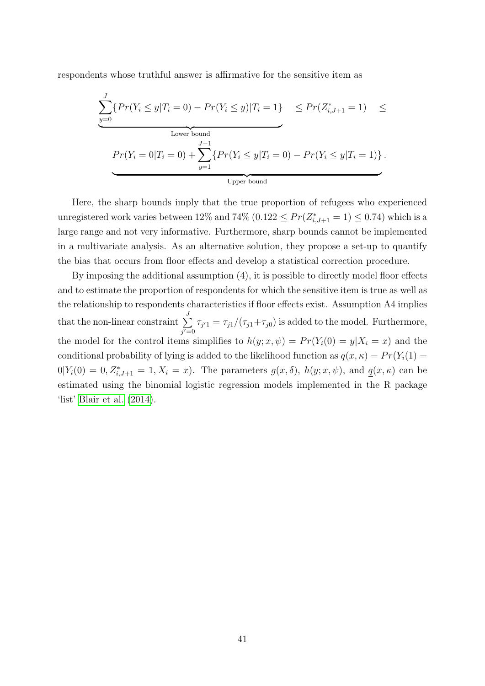respondents whose truthful answer is affirmative for the sensitive item as

$$
\underbrace{\sum_{y=0}^{J} \{Pr(Y_i \le y | T_i = 0) - Pr(Y_i \le y) | T_i = 1\}}_{\text{Lower bound}} \le Pr(Z_{i,J+1}^* = 1) \le Pr(Y_i = 0 | T_i = 0) + \sum_{y=1}^{J-1} \{Pr(Y_i \le y | T_i = 0) - Pr(Y_i \le y | T_i = 1)\}.
$$
\n
$$
\underbrace{\sum_{y=1}^{J-1} \{Pr(Y_i \le y | T_i = 0) - Pr(Y_i \le y | T_i = 1)\}}_{\text{Upper bound}}
$$

Here, the sharp bounds imply that the true proportion of refugees who experienced unregistered work varies between 12% and 74%  $(0.122 \le Pr(Z_{i,J+1}^* = 1) \le 0.74)$  which is a large range and not very informative. Furthermore, sharp bounds cannot be implemented in a multivariate analysis. As an alternative solution, they propose a set-up to quantify the bias that occurs from floor effects and develop a statistical correction procedure.

By imposing the additional assumption (4), it is possible to directly model floor effects and to estimate the proportion of respondents for which the sensitive item is true as well as the relationship to respondents characteristics if floor effects exist. Assumption A4 implies that the non-linear constraint  $\sum_{i=1}^{J}$  $j'=0$  $\tau_{j'1} = \tau_{j1}/(\tau_{j1} + \tau_{j0})$  is added to the model. Furthermore, the model for the control items simplifies to  $h(y; x, \psi) = Pr(Y_i(0) = y | X_i = x)$  and the conditional probability of lying is added to the likelihood function as  $q(x, \kappa) = Pr(Y_i(1) =$  $0|Y_i(0) = 0, Z^*_{i,J+1} = 1, X_i = x$ . The parameters  $g(x, \delta)$ ,  $h(y; x, \psi)$ , and  $q(x, \kappa)$  can be estimated using the binomial logistic regression models implemented in the R package 'list' [Blair et al.](#page-28-10) [\(2014\)](#page-28-10).